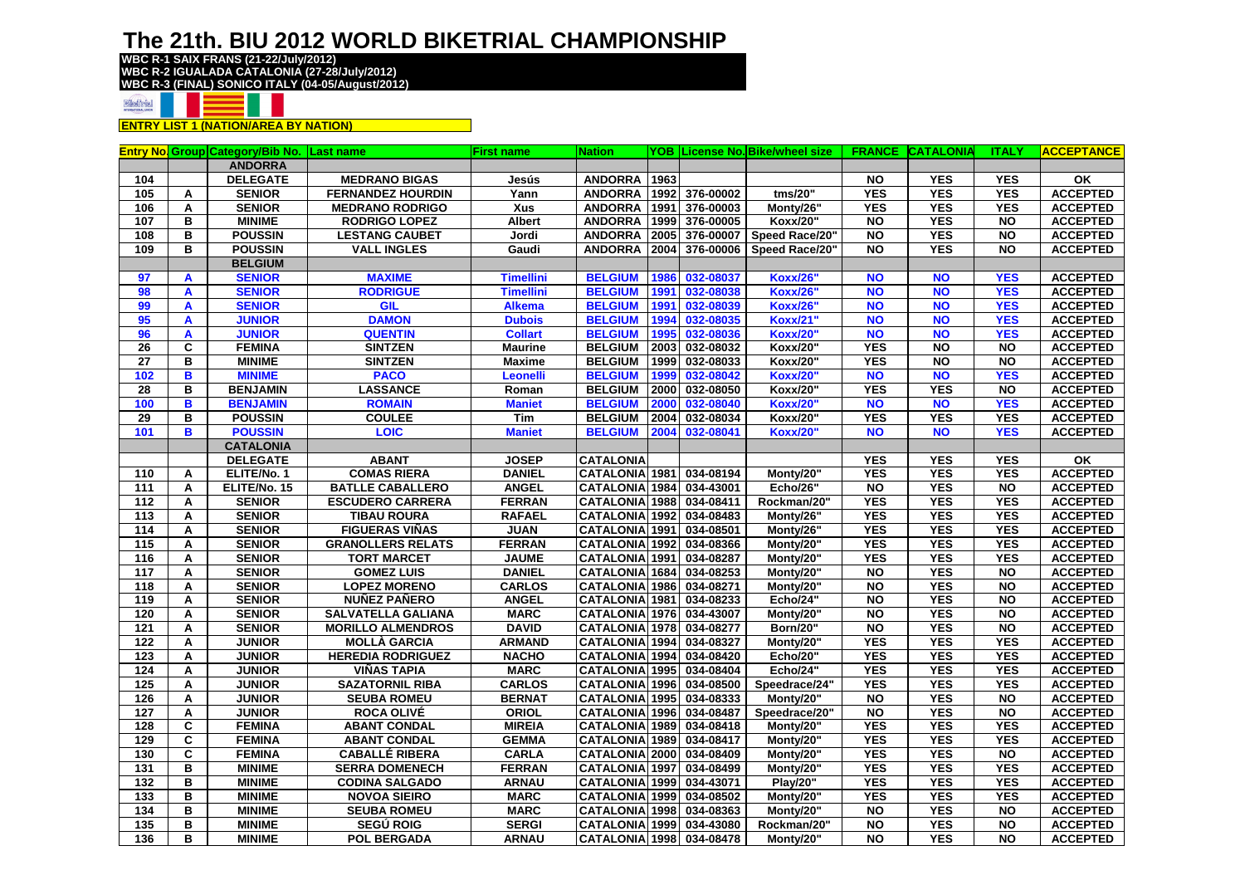**WBC R-1 SAIX FRANS (21-22/July/2012) WBC R-2 IGUALADA CATALONIA (27-28/July/2012) WBC R-3 (FINAL) SONICO ITALY (04-05/August/2012)**



**ENTRY LIST 1 (NATION/AREA BY NATION)**

| <b>ANDORRA</b><br>1963<br><b>YES</b><br>104<br><b>DELEGATE</b><br><b>ANDORRA</b><br><b>NO</b><br><b>YES</b><br>OK<br><b>MEDRANO BIGAS</b><br>Jesús<br><b>YES</b><br><b>YES</b><br><b>YES</b><br><b>SENIOR</b><br><b>FERNANDEZ HOURDIN</b><br>Yann<br><b>ANDORRA</b><br>1992<br>376-00002<br>tms/20"<br>105<br>A<br><b>YES</b><br><b>SENIOR</b><br>Xus<br><b>ANDORRA</b><br>376-00003<br><b>YES</b><br><b>YES</b><br>106<br>Α<br><b>MEDRANO RODRIGO</b><br>1991<br>Monty/26"<br><b>YES</b><br>в<br><b>MINIME</b><br><b>RODRIGO LOPEZ</b><br><b>Albert</b><br><b>ANDORRA</b><br>1999<br>376-00005<br>Koxx/20"<br><b>NO</b><br><b>NO</b><br>107<br>B<br><b>POUSSIN</b><br>376-00007<br><b>YES</b><br>108<br><b>LESTANG CAUBET</b><br>Jordi<br><b>ANDORRA</b><br>2005<br>Speed Race/20"<br><b>NO</b><br><b>NO</b><br><b>POUSSIN</b><br><b>YES</b><br>B<br><b>VALL INGLES</b><br>Gaudi<br><b>ANDORRA</b><br>2004<br>376-00006<br>Speed Race/20"<br><b>NO</b><br><b>NO</b><br>109<br><b>BELGIUM</b><br><b>MAXIME</b><br>032-08037<br><b>SENIOR</b><br><b>BELGIUM</b><br>1986<br><b>Koxx/26"</b><br><b>NO</b><br><b>NO</b><br><b>YES</b><br>97<br><b>Timellini</b><br>A<br><b>RODRIGUE</b><br><b>BELGIUM</b><br>1991<br>032-08038<br><b>Koxx/26'</b><br><b>NO</b><br><b>NO</b><br><b>YES</b><br>98<br><b>SENIOR</b><br><b>Timellini</b><br>A<br><b>NO</b><br><b>SENIOR</b><br>GIL<br><b>Alkema</b><br><b>BELGIUM</b><br>1991<br>032-08039<br><b>Koxx/26"</b><br><b>NO</b><br><b>YES</b><br>99<br>A<br><b>DAMON</b><br>032-08035<br><b>NO</b><br>95<br><b>JUNIOR</b><br><b>Dubois</b><br><b>BELGIUM</b><br>1994<br><b>Koxx/21"</b><br><b>NO</b><br><b>YES</b><br>A<br><b>QUENTIN</b><br><b>BELGIUM</b><br>1995<br>032-08036<br><b>NO</b><br><b>NO</b><br><b>YES</b><br>96<br>A<br><b>JUNIOR</b><br><b>Collart</b><br><b>Koxx/20"</b><br>C<br><b>YES</b><br>$\overline{N}$<br>26<br><b>FEMINA</b><br><b>SINTZEN</b><br><b>Maurine</b><br><b>BELGIUM</b><br>2003<br>032-08032<br>Koxx/20"<br><b>NO</b><br><b>YES</b><br>$\overline{N}$<br>27<br>в<br><b>MINIME</b><br><b>SINTZEN</b><br><b>BELGIUM</b><br>1999<br>032-08033<br>Koxx/20"<br><b>NO</b><br><b>Maxime</b><br>102<br>B<br><b>MINIME</b><br><b>PACO</b><br><b>BELGIUM</b><br>032-08042<br><b>NO</b><br><b>NO</b><br><b>YES</b><br>1999<br><b>Koxx/20'</b><br>Leonelli<br><b>YES</b><br><b>YES</b><br>B<br><b>BENJAMIN</b><br><b>LASSANCE</b><br><b>BELGIUM</b><br>2000<br>032-08050<br>Koxx/20"<br><b>NO</b><br>28<br>Roman<br><b>BENJAMIN</b><br>032-08040<br><b>NO</b><br>100<br>B<br><b>ROMAIN</b><br><b>BELGIUM</b><br>2000<br><b>Koxx/20"</b><br><b>NO</b><br><b>YES</b><br><b>Maniet</b><br><b>POUSSIN</b><br>032-08034<br><b>YES</b><br><b>YES</b><br><b>YES</b><br>29<br>в<br><b>COULEE</b><br>Tim<br><b>BELGIUM</b><br>2004<br>Koxx/20"<br>101<br>B<br><b>POUSSIN</b><br><b>LOIC</b><br><b>BELGIUM</b><br>2004<br>032-08041<br><b>NO</b><br><b>NO</b><br><b>YES</b><br><b>Maniet</b><br><b>Koxx/20"</b><br><b>CATALONIA</b><br><b>CATALONIA</b><br>$\overline{\mathsf{X}}$<br><b>DELEGATE</b><br><b>ABANT</b><br><b>JOSEP</b><br><b>YES</b><br><b>YES</b><br><b>YES</b><br><b>YES</b><br><b>ACCEPTED</b><br>ELITE/No. 1<br><b>COMAS RIERA</b><br><b>DANIEL</b><br><b>CATALONIA 1981</b><br>034-08194<br><b>YES</b><br><b>YES</b><br>Monty/20"<br>110<br>A<br><b>YES</b><br><b>ACCEPTED</b><br>111<br>ELITE/No. 15<br><b>BATLLE CABALLERO</b><br><b>ANGEL</b><br><b>CATALONIA 1984</b><br>034-43001<br><b>Echo/26"</b><br><b>NO</b><br><b>NO</b><br>A<br><b>FERRAN</b><br><b>YES</b><br><b>YES</b><br><b>YES</b><br><b>ACCEPTED</b><br><b>SENIOR</b><br><b>ESCUDERO CARRERA</b><br><b>CATALONIA 1988</b><br>034-08411<br>Rockman/20"<br>112<br>A<br>$\frac{1}{113}$<br><b>CATALONIA</b> 1992<br>034-08483<br><b>YES</b><br><b>YES</b><br><b>YES</b><br>A<br><b>SENIOR</b><br><b>TIBAU ROURA</b><br><b>RAFAEL</b><br>Monty/26"<br><b>YES</b><br><b>ACCEPTED</b><br><b>SENIOR</b><br><b>FIGUERAS VIÑAS</b><br><b>JUAN</b><br><b>CATALONIA</b> 1991<br>034-08501<br><b>YES</b><br><b>YES</b><br>114<br>A<br>Monty/26"<br>115<br>034-08366<br><b>YES</b><br><b>YES</b><br><b>YES</b><br>A<br><b>SENIOR</b><br><b>GRANOLLERS RELATS</b><br><b>FERRAN</b><br><b>CATALONIA 1992</b><br>Monty/20"<br><b>ACCEPTED</b><br><b>JAUME</b><br><b>YES</b><br><b>YES</b><br><b>YES</b><br><b>ACCEPTED</b><br>116<br><b>SENIOR</b><br><b>TORT MARCET</b><br><b>CATALONIA 1991</b><br>034-08287<br>Monty/20"<br>A<br><b>YES</b><br>117<br><b>SENIOR</b><br><b>GOMEZ LUIS</b><br><b>DANIEL</b><br><b>CATALONIA</b> 1684<br>034-08253<br><b>NO</b><br><b>NO</b><br>A<br>Monty/20"<br><b>YES</b><br><b>CATALONIA</b> 1986<br><b>NO</b><br><b>ACCEPTED</b><br><b>SENIOR</b><br><b>LOPEZ MORENO</b><br><b>CARLOS</b><br>034-08271<br>Monty/20"<br><b>NO</b><br>118<br>Α<br>034-08233<br><b>YES</b><br>119<br>A<br><b>SENIOR</b><br><b>NUÑEZ PAÑERO</b><br><b>ANGEL</b><br><b>CATALONIA 1981</b><br><b>Echo/24"</b><br><b>NO</b><br><b>NO</b><br><b>ACCEPTED</b><br><b>YES</b><br><b>SENIOR</b><br><b>MARC</b><br>034-43007<br><b>NO</b><br><b>NO</b><br>120<br><b>SALVATELLA GALIANA</b><br><b>CATALONIA 1976</b><br>Monty/20"<br>A<br><b>DAVID</b><br><b>YES</b><br>121<br><b>SENIOR</b><br><b>MORILLO ALMENDROS</b><br><b>CATALONIA</b> 1978<br>034-08277<br><b>NO</b><br><b>NO</b><br><b>ACCEPTED</b><br>A<br><b>Born/20"</b><br><b>YES</b><br><b>JUNIOR</b><br><b>ARMAND</b><br><b>CATALONIA</b> 1994<br>034-08327<br><b>YES</b><br><b>YES</b><br><b>ACCEPTED</b><br>122<br>A<br><b>MOLLÀ GARCIA</b><br>Monty/20"<br>$\frac{1}{23}$<br><b>NACHO</b><br><b>CATALONIA</b> 1994<br>034-08420<br><b>YES</b><br><b>YES</b><br><b>YES</b><br>A<br><b>JUNIOR</b><br><b>HEREDIA RODRIGUEZ</b><br><b>Echo/20"</b><br><b>YES</b><br><b>VIÑAS TAPIA</b><br><b>MARC</b><br><b>CATALONIA</b> 1995<br>034-08404<br>Echo/24"<br><b>YES</b><br><b>YES</b><br><b>ACCEPTED</b><br>124<br>A<br><b>JUNIOR</b><br>$\frac{1}{125}$<br><b>CARLOS</b><br>034-08500<br><b>YES</b><br><b>YES</b><br><b>YES</b><br><b>ACCEPTED</b><br>A<br><b>JUNIOR</b><br><b>SAZATORNIL RIBA</b><br><b>CATALONIA 1996</b><br>Speedrace/24"<br><b>BERNAT</b><br><b>CATALONIA</b> 1995<br>034-08333<br><b>YES</b><br><b>NO</b><br><b>JUNIOR</b><br><b>SEUBA ROMEU</b><br>Monty/20"<br><b>NO</b><br>126<br>A<br>$\frac{1}{127}$<br><b>JUNIOR</b><br>ORIOL<br>CATALONIA 1996<br>034-08487<br><b>NO</b><br><b>YES</b><br><b>NO</b><br>A<br><b>ROCA OLIVÉ</b><br>Speedrace/20"<br><b>YES</b><br><b>YES</b><br>128<br>C<br><b>FEMINA</b><br><b>ABANT CONDAL</b><br><b>MIREIA</b><br><b>CATALONIA</b> 1989<br>034-08418<br><b>YES</b><br>Monty/20"<br>C<br><b>GEMMA</b><br>034-08417<br><b>YES</b><br><b>YES</b><br><b>YES</b><br>129<br><b>FEMINA</b><br><b>ABANT CONDAL</b><br><b>CATALONIA 1989</b><br>Monty/20"<br><b>YES</b><br>C<br><b>FEMINA</b><br><b>CABALLÉ RIBERA</b><br><b>CARLA</b><br><b>CATALONIA</b> 2000<br>034-08409<br><b>YES</b><br><b>NO</b><br>130<br>Monty/20"<br><b>YES</b><br><b>YES</b><br><b>YES</b><br>131<br>B<br><b>MINIME</b><br><b>FERRAN</b><br>CATALONIA <sup>1997</sup><br>034-08499<br><b>SERRA DOMENECH</b><br>Monty/20"<br><b>YES</b><br><b>YES</b><br><b>YES</b><br>132<br>в<br><b>MINIME</b><br><b>CODINA SALGADO</b><br><b>ARNAU</b><br><b>CATALONIA 1999</b><br>034-43071<br><b>Play/20"</b><br>$\frac{1}{133}$<br>B<br><b>MARC</b><br><b>CATALONIA</b> 1999<br>034-08502<br><b>YES</b><br><b>YES</b><br><b>YES</b><br><b>MINIME</b><br><b>NOVOA SIEIRO</b><br>Monty/20"<br><b>YES</b><br>B<br><b>MINIME</b><br><b>SEUBA ROMEU</b><br><b>MARC</b><br><b>CATALONIA 1998</b><br>034-08363<br><b>NO</b><br>134<br>Monty/20"<br><b>NO</b> |  | <b>Entry No Group Category/Bib No. Last name</b> | <b>First name</b> | <b>Nation</b> |  | <b>YOB License No. Bike/wheel size</b> | <b>FRANCE CATALONIA</b> | <b>ITALY</b> | <b>ACCEPTANCE</b> |
|---------------------------------------------------------------------------------------------------------------------------------------------------------------------------------------------------------------------------------------------------------------------------------------------------------------------------------------------------------------------------------------------------------------------------------------------------------------------------------------------------------------------------------------------------------------------------------------------------------------------------------------------------------------------------------------------------------------------------------------------------------------------------------------------------------------------------------------------------------------------------------------------------------------------------------------------------------------------------------------------------------------------------------------------------------------------------------------------------------------------------------------------------------------------------------------------------------------------------------------------------------------------------------------------------------------------------------------------------------------------------------------------------------------------------------------------------------------------------------------------------------------------------------------------------------------------------------------------------------------------------------------------------------------------------------------------------------------------------------------------------------------------------------------------------------------------------------------------------------------------------------------------------------------------------------------------------------------------------------------------------------------------------------------------------------------------------------------------------------------------------------------------------------------------------------------------------------------------------------------------------------------------------------------------------------------------------------------------------------------------------------------------------------------------------------------------------------------------------------------------------------------------------------------------------------------------------------------------------------------------------------------------------------------------------------------------------------------------------------------------------------------------------------------------------------------------------------------------------------------------------------------------------------------------------------------------------------------------------------------------------------------------------------------------------------------------------------------------------------------------------------------------------------------------------------------------------------------------------------------------------------------------------------------------------------------------------------------------------------------------------------------------------------------------------------------------------------------------------------------------------------------------------------------------------------------------------------------------------------------------------------------------------------------------------------------------------------------------------------------------------------------------------------------------------------------------------------------------------------------------------------------------------------------------------------------------------------------------------------------------------------------------------------------------------------------------------------------------------------------------------------------------------------------------------------------------------------------------------------------------------------------------------------------------------------------------------------------------------------------------------------------------------------------------------------------------------------------------------------------------------------------------------------------------------------------------------------------------------------------------------------------------------------------------------------------------------------------------------------------------------------------------------------------------------------------------------------------------------------------------------------------------------------------------------------------------------------------------------------------------------------------------------------------------------------------------------------------------------------------------------------------------------------------------------------------------------------------------------------------------------------------------------------------------------------------------------------------------------------------------------------------------------------------------------------------------------------------------------------------------------------------------------------------------------------------------------------------------------------------------------------------------------------------------------------------------------------------------------------------------------------------------------------------------------------------------------------------------------------------------------------------------------------------------------------------------------------------------------------------------------------------------------------------------------------------------------------------------------------------------------------------------------------------------------------------------------------------------------------------------------------------------------------------------------------------------------------------------------------------------------------------------------------------------------------------------------------------------------------------------------------------------------------------------------------------------------------------------------------------------------------------------------------------------------------------------------------------------------------------------------------------------------------------------------------------------------------------------------------------------------------------------------------------------------------------------------------------------------------------------------------------------------------------------------------------------------------------------------------------------------------------------------------------------------------------------------------------------------------------------------------------------------------------------------------------------------------------------------------------------------------------------------------------------------------------------------------------------------------------------------------------------------------------------------------------------------------------------------------------------------------------------------------------------|--|--------------------------------------------------|-------------------|---------------|--|----------------------------------------|-------------------------|--------------|-------------------|
|                                                                                                                                                                                                                                                                                                                                                                                                                                                                                                                                                                                                                                                                                                                                                                                                                                                                                                                                                                                                                                                                                                                                                                                                                                                                                                                                                                                                                                                                                                                                                                                                                                                                                                                                                                                                                                                                                                                                                                                                                                                                                                                                                                                                                                                                                                                                                                                                                                                                                                                                                                                                                                                                                                                                                                                                                                                                                                                                                                                                                                                                                                                                                                                                                                                                                                                                                                                                                                                                                                                                                                                                                                                                                                                                                                                                                                                                                                                                                                                                                                                                                                                                                                                                                                                                                                                                                                                                                                                                                                                                                                                                                                                                                                                                                                                                                                                                                                                                                                                                                                                                                                                                                                                                                                                                                                                                                                                                                                                                                                                                                                                                                                                                                                                                                                                                                                                                                                                                                                                                                                                                                                                                                                                                                                                                                                                                                                                                                                                                                                                                                                                                                                                                                                                                                                                                                                                                                                                                                                                                                                                                                                                                                                                                                                                                                                                                                                                                                                                                                                                                                                                                                                                                     |  |                                                  |                   |               |  |                                        |                         |              |                   |
|                                                                                                                                                                                                                                                                                                                                                                                                                                                                                                                                                                                                                                                                                                                                                                                                                                                                                                                                                                                                                                                                                                                                                                                                                                                                                                                                                                                                                                                                                                                                                                                                                                                                                                                                                                                                                                                                                                                                                                                                                                                                                                                                                                                                                                                                                                                                                                                                                                                                                                                                                                                                                                                                                                                                                                                                                                                                                                                                                                                                                                                                                                                                                                                                                                                                                                                                                                                                                                                                                                                                                                                                                                                                                                                                                                                                                                                                                                                                                                                                                                                                                                                                                                                                                                                                                                                                                                                                                                                                                                                                                                                                                                                                                                                                                                                                                                                                                                                                                                                                                                                                                                                                                                                                                                                                                                                                                                                                                                                                                                                                                                                                                                                                                                                                                                                                                                                                                                                                                                                                                                                                                                                                                                                                                                                                                                                                                                                                                                                                                                                                                                                                                                                                                                                                                                                                                                                                                                                                                                                                                                                                                                                                                                                                                                                                                                                                                                                                                                                                                                                                                                                                                                                                     |  |                                                  |                   |               |  |                                        |                         |              |                   |
|                                                                                                                                                                                                                                                                                                                                                                                                                                                                                                                                                                                                                                                                                                                                                                                                                                                                                                                                                                                                                                                                                                                                                                                                                                                                                                                                                                                                                                                                                                                                                                                                                                                                                                                                                                                                                                                                                                                                                                                                                                                                                                                                                                                                                                                                                                                                                                                                                                                                                                                                                                                                                                                                                                                                                                                                                                                                                                                                                                                                                                                                                                                                                                                                                                                                                                                                                                                                                                                                                                                                                                                                                                                                                                                                                                                                                                                                                                                                                                                                                                                                                                                                                                                                                                                                                                                                                                                                                                                                                                                                                                                                                                                                                                                                                                                                                                                                                                                                                                                                                                                                                                                                                                                                                                                                                                                                                                                                                                                                                                                                                                                                                                                                                                                                                                                                                                                                                                                                                                                                                                                                                                                                                                                                                                                                                                                                                                                                                                                                                                                                                                                                                                                                                                                                                                                                                                                                                                                                                                                                                                                                                                                                                                                                                                                                                                                                                                                                                                                                                                                                                                                                                                                                     |  |                                                  |                   |               |  |                                        |                         |              | <b>ACCEPTED</b>   |
|                                                                                                                                                                                                                                                                                                                                                                                                                                                                                                                                                                                                                                                                                                                                                                                                                                                                                                                                                                                                                                                                                                                                                                                                                                                                                                                                                                                                                                                                                                                                                                                                                                                                                                                                                                                                                                                                                                                                                                                                                                                                                                                                                                                                                                                                                                                                                                                                                                                                                                                                                                                                                                                                                                                                                                                                                                                                                                                                                                                                                                                                                                                                                                                                                                                                                                                                                                                                                                                                                                                                                                                                                                                                                                                                                                                                                                                                                                                                                                                                                                                                                                                                                                                                                                                                                                                                                                                                                                                                                                                                                                                                                                                                                                                                                                                                                                                                                                                                                                                                                                                                                                                                                                                                                                                                                                                                                                                                                                                                                                                                                                                                                                                                                                                                                                                                                                                                                                                                                                                                                                                                                                                                                                                                                                                                                                                                                                                                                                                                                                                                                                                                                                                                                                                                                                                                                                                                                                                                                                                                                                                                                                                                                                                                                                                                                                                                                                                                                                                                                                                                                                                                                                                                     |  |                                                  |                   |               |  |                                        |                         |              | <b>ACCEPTED</b>   |
|                                                                                                                                                                                                                                                                                                                                                                                                                                                                                                                                                                                                                                                                                                                                                                                                                                                                                                                                                                                                                                                                                                                                                                                                                                                                                                                                                                                                                                                                                                                                                                                                                                                                                                                                                                                                                                                                                                                                                                                                                                                                                                                                                                                                                                                                                                                                                                                                                                                                                                                                                                                                                                                                                                                                                                                                                                                                                                                                                                                                                                                                                                                                                                                                                                                                                                                                                                                                                                                                                                                                                                                                                                                                                                                                                                                                                                                                                                                                                                                                                                                                                                                                                                                                                                                                                                                                                                                                                                                                                                                                                                                                                                                                                                                                                                                                                                                                                                                                                                                                                                                                                                                                                                                                                                                                                                                                                                                                                                                                                                                                                                                                                                                                                                                                                                                                                                                                                                                                                                                                                                                                                                                                                                                                                                                                                                                                                                                                                                                                                                                                                                                                                                                                                                                                                                                                                                                                                                                                                                                                                                                                                                                                                                                                                                                                                                                                                                                                                                                                                                                                                                                                                                                                     |  |                                                  |                   |               |  |                                        |                         |              | <b>ACCEPTED</b>   |
|                                                                                                                                                                                                                                                                                                                                                                                                                                                                                                                                                                                                                                                                                                                                                                                                                                                                                                                                                                                                                                                                                                                                                                                                                                                                                                                                                                                                                                                                                                                                                                                                                                                                                                                                                                                                                                                                                                                                                                                                                                                                                                                                                                                                                                                                                                                                                                                                                                                                                                                                                                                                                                                                                                                                                                                                                                                                                                                                                                                                                                                                                                                                                                                                                                                                                                                                                                                                                                                                                                                                                                                                                                                                                                                                                                                                                                                                                                                                                                                                                                                                                                                                                                                                                                                                                                                                                                                                                                                                                                                                                                                                                                                                                                                                                                                                                                                                                                                                                                                                                                                                                                                                                                                                                                                                                                                                                                                                                                                                                                                                                                                                                                                                                                                                                                                                                                                                                                                                                                                                                                                                                                                                                                                                                                                                                                                                                                                                                                                                                                                                                                                                                                                                                                                                                                                                                                                                                                                                                                                                                                                                                                                                                                                                                                                                                                                                                                                                                                                                                                                                                                                                                                                                     |  |                                                  |                   |               |  |                                        |                         |              | <b>ACCEPTED</b>   |
|                                                                                                                                                                                                                                                                                                                                                                                                                                                                                                                                                                                                                                                                                                                                                                                                                                                                                                                                                                                                                                                                                                                                                                                                                                                                                                                                                                                                                                                                                                                                                                                                                                                                                                                                                                                                                                                                                                                                                                                                                                                                                                                                                                                                                                                                                                                                                                                                                                                                                                                                                                                                                                                                                                                                                                                                                                                                                                                                                                                                                                                                                                                                                                                                                                                                                                                                                                                                                                                                                                                                                                                                                                                                                                                                                                                                                                                                                                                                                                                                                                                                                                                                                                                                                                                                                                                                                                                                                                                                                                                                                                                                                                                                                                                                                                                                                                                                                                                                                                                                                                                                                                                                                                                                                                                                                                                                                                                                                                                                                                                                                                                                                                                                                                                                                                                                                                                                                                                                                                                                                                                                                                                                                                                                                                                                                                                                                                                                                                                                                                                                                                                                                                                                                                                                                                                                                                                                                                                                                                                                                                                                                                                                                                                                                                                                                                                                                                                                                                                                                                                                                                                                                                                                     |  |                                                  |                   |               |  |                                        |                         |              | <b>ACCEPTED</b>   |
|                                                                                                                                                                                                                                                                                                                                                                                                                                                                                                                                                                                                                                                                                                                                                                                                                                                                                                                                                                                                                                                                                                                                                                                                                                                                                                                                                                                                                                                                                                                                                                                                                                                                                                                                                                                                                                                                                                                                                                                                                                                                                                                                                                                                                                                                                                                                                                                                                                                                                                                                                                                                                                                                                                                                                                                                                                                                                                                                                                                                                                                                                                                                                                                                                                                                                                                                                                                                                                                                                                                                                                                                                                                                                                                                                                                                                                                                                                                                                                                                                                                                                                                                                                                                                                                                                                                                                                                                                                                                                                                                                                                                                                                                                                                                                                                                                                                                                                                                                                                                                                                                                                                                                                                                                                                                                                                                                                                                                                                                                                                                                                                                                                                                                                                                                                                                                                                                                                                                                                                                                                                                                                                                                                                                                                                                                                                                                                                                                                                                                                                                                                                                                                                                                                                                                                                                                                                                                                                                                                                                                                                                                                                                                                                                                                                                                                                                                                                                                                                                                                                                                                                                                                                                     |  |                                                  |                   |               |  |                                        |                         |              |                   |
|                                                                                                                                                                                                                                                                                                                                                                                                                                                                                                                                                                                                                                                                                                                                                                                                                                                                                                                                                                                                                                                                                                                                                                                                                                                                                                                                                                                                                                                                                                                                                                                                                                                                                                                                                                                                                                                                                                                                                                                                                                                                                                                                                                                                                                                                                                                                                                                                                                                                                                                                                                                                                                                                                                                                                                                                                                                                                                                                                                                                                                                                                                                                                                                                                                                                                                                                                                                                                                                                                                                                                                                                                                                                                                                                                                                                                                                                                                                                                                                                                                                                                                                                                                                                                                                                                                                                                                                                                                                                                                                                                                                                                                                                                                                                                                                                                                                                                                                                                                                                                                                                                                                                                                                                                                                                                                                                                                                                                                                                                                                                                                                                                                                                                                                                                                                                                                                                                                                                                                                                                                                                                                                                                                                                                                                                                                                                                                                                                                                                                                                                                                                                                                                                                                                                                                                                                                                                                                                                                                                                                                                                                                                                                                                                                                                                                                                                                                                                                                                                                                                                                                                                                                                                     |  |                                                  |                   |               |  |                                        |                         |              | <b>ACCEPTED</b>   |
|                                                                                                                                                                                                                                                                                                                                                                                                                                                                                                                                                                                                                                                                                                                                                                                                                                                                                                                                                                                                                                                                                                                                                                                                                                                                                                                                                                                                                                                                                                                                                                                                                                                                                                                                                                                                                                                                                                                                                                                                                                                                                                                                                                                                                                                                                                                                                                                                                                                                                                                                                                                                                                                                                                                                                                                                                                                                                                                                                                                                                                                                                                                                                                                                                                                                                                                                                                                                                                                                                                                                                                                                                                                                                                                                                                                                                                                                                                                                                                                                                                                                                                                                                                                                                                                                                                                                                                                                                                                                                                                                                                                                                                                                                                                                                                                                                                                                                                                                                                                                                                                                                                                                                                                                                                                                                                                                                                                                                                                                                                                                                                                                                                                                                                                                                                                                                                                                                                                                                                                                                                                                                                                                                                                                                                                                                                                                                                                                                                                                                                                                                                                                                                                                                                                                                                                                                                                                                                                                                                                                                                                                                                                                                                                                                                                                                                                                                                                                                                                                                                                                                                                                                                                                     |  |                                                  |                   |               |  |                                        |                         |              | <b>ACCEPTED</b>   |
|                                                                                                                                                                                                                                                                                                                                                                                                                                                                                                                                                                                                                                                                                                                                                                                                                                                                                                                                                                                                                                                                                                                                                                                                                                                                                                                                                                                                                                                                                                                                                                                                                                                                                                                                                                                                                                                                                                                                                                                                                                                                                                                                                                                                                                                                                                                                                                                                                                                                                                                                                                                                                                                                                                                                                                                                                                                                                                                                                                                                                                                                                                                                                                                                                                                                                                                                                                                                                                                                                                                                                                                                                                                                                                                                                                                                                                                                                                                                                                                                                                                                                                                                                                                                                                                                                                                                                                                                                                                                                                                                                                                                                                                                                                                                                                                                                                                                                                                                                                                                                                                                                                                                                                                                                                                                                                                                                                                                                                                                                                                                                                                                                                                                                                                                                                                                                                                                                                                                                                                                                                                                                                                                                                                                                                                                                                                                                                                                                                                                                                                                                                                                                                                                                                                                                                                                                                                                                                                                                                                                                                                                                                                                                                                                                                                                                                                                                                                                                                                                                                                                                                                                                                                                     |  |                                                  |                   |               |  |                                        |                         |              | <b>ACCEPTED</b>   |
|                                                                                                                                                                                                                                                                                                                                                                                                                                                                                                                                                                                                                                                                                                                                                                                                                                                                                                                                                                                                                                                                                                                                                                                                                                                                                                                                                                                                                                                                                                                                                                                                                                                                                                                                                                                                                                                                                                                                                                                                                                                                                                                                                                                                                                                                                                                                                                                                                                                                                                                                                                                                                                                                                                                                                                                                                                                                                                                                                                                                                                                                                                                                                                                                                                                                                                                                                                                                                                                                                                                                                                                                                                                                                                                                                                                                                                                                                                                                                                                                                                                                                                                                                                                                                                                                                                                                                                                                                                                                                                                                                                                                                                                                                                                                                                                                                                                                                                                                                                                                                                                                                                                                                                                                                                                                                                                                                                                                                                                                                                                                                                                                                                                                                                                                                                                                                                                                                                                                                                                                                                                                                                                                                                                                                                                                                                                                                                                                                                                                                                                                                                                                                                                                                                                                                                                                                                                                                                                                                                                                                                                                                                                                                                                                                                                                                                                                                                                                                                                                                                                                                                                                                                                                     |  |                                                  |                   |               |  |                                        |                         |              | <b>ACCEPTED</b>   |
|                                                                                                                                                                                                                                                                                                                                                                                                                                                                                                                                                                                                                                                                                                                                                                                                                                                                                                                                                                                                                                                                                                                                                                                                                                                                                                                                                                                                                                                                                                                                                                                                                                                                                                                                                                                                                                                                                                                                                                                                                                                                                                                                                                                                                                                                                                                                                                                                                                                                                                                                                                                                                                                                                                                                                                                                                                                                                                                                                                                                                                                                                                                                                                                                                                                                                                                                                                                                                                                                                                                                                                                                                                                                                                                                                                                                                                                                                                                                                                                                                                                                                                                                                                                                                                                                                                                                                                                                                                                                                                                                                                                                                                                                                                                                                                                                                                                                                                                                                                                                                                                                                                                                                                                                                                                                                                                                                                                                                                                                                                                                                                                                                                                                                                                                                                                                                                                                                                                                                                                                                                                                                                                                                                                                                                                                                                                                                                                                                                                                                                                                                                                                                                                                                                                                                                                                                                                                                                                                                                                                                                                                                                                                                                                                                                                                                                                                                                                                                                                                                                                                                                                                                                                                     |  |                                                  |                   |               |  |                                        |                         |              | <b>ACCEPTED</b>   |
|                                                                                                                                                                                                                                                                                                                                                                                                                                                                                                                                                                                                                                                                                                                                                                                                                                                                                                                                                                                                                                                                                                                                                                                                                                                                                                                                                                                                                                                                                                                                                                                                                                                                                                                                                                                                                                                                                                                                                                                                                                                                                                                                                                                                                                                                                                                                                                                                                                                                                                                                                                                                                                                                                                                                                                                                                                                                                                                                                                                                                                                                                                                                                                                                                                                                                                                                                                                                                                                                                                                                                                                                                                                                                                                                                                                                                                                                                                                                                                                                                                                                                                                                                                                                                                                                                                                                                                                                                                                                                                                                                                                                                                                                                                                                                                                                                                                                                                                                                                                                                                                                                                                                                                                                                                                                                                                                                                                                                                                                                                                                                                                                                                                                                                                                                                                                                                                                                                                                                                                                                                                                                                                                                                                                                                                                                                                                                                                                                                                                                                                                                                                                                                                                                                                                                                                                                                                                                                                                                                                                                                                                                                                                                                                                                                                                                                                                                                                                                                                                                                                                                                                                                                                                     |  |                                                  |                   |               |  |                                        |                         |              | <b>ACCEPTED</b>   |
|                                                                                                                                                                                                                                                                                                                                                                                                                                                                                                                                                                                                                                                                                                                                                                                                                                                                                                                                                                                                                                                                                                                                                                                                                                                                                                                                                                                                                                                                                                                                                                                                                                                                                                                                                                                                                                                                                                                                                                                                                                                                                                                                                                                                                                                                                                                                                                                                                                                                                                                                                                                                                                                                                                                                                                                                                                                                                                                                                                                                                                                                                                                                                                                                                                                                                                                                                                                                                                                                                                                                                                                                                                                                                                                                                                                                                                                                                                                                                                                                                                                                                                                                                                                                                                                                                                                                                                                                                                                                                                                                                                                                                                                                                                                                                                                                                                                                                                                                                                                                                                                                                                                                                                                                                                                                                                                                                                                                                                                                                                                                                                                                                                                                                                                                                                                                                                                                                                                                                                                                                                                                                                                                                                                                                                                                                                                                                                                                                                                                                                                                                                                                                                                                                                                                                                                                                                                                                                                                                                                                                                                                                                                                                                                                                                                                                                                                                                                                                                                                                                                                                                                                                                                                     |  |                                                  |                   |               |  |                                        |                         |              | <b>ACCEPTED</b>   |
|                                                                                                                                                                                                                                                                                                                                                                                                                                                                                                                                                                                                                                                                                                                                                                                                                                                                                                                                                                                                                                                                                                                                                                                                                                                                                                                                                                                                                                                                                                                                                                                                                                                                                                                                                                                                                                                                                                                                                                                                                                                                                                                                                                                                                                                                                                                                                                                                                                                                                                                                                                                                                                                                                                                                                                                                                                                                                                                                                                                                                                                                                                                                                                                                                                                                                                                                                                                                                                                                                                                                                                                                                                                                                                                                                                                                                                                                                                                                                                                                                                                                                                                                                                                                                                                                                                                                                                                                                                                                                                                                                                                                                                                                                                                                                                                                                                                                                                                                                                                                                                                                                                                                                                                                                                                                                                                                                                                                                                                                                                                                                                                                                                                                                                                                                                                                                                                                                                                                                                                                                                                                                                                                                                                                                                                                                                                                                                                                                                                                                                                                                                                                                                                                                                                                                                                                                                                                                                                                                                                                                                                                                                                                                                                                                                                                                                                                                                                                                                                                                                                                                                                                                                                                     |  |                                                  |                   |               |  |                                        |                         |              | <b>ACCEPTED</b>   |
|                                                                                                                                                                                                                                                                                                                                                                                                                                                                                                                                                                                                                                                                                                                                                                                                                                                                                                                                                                                                                                                                                                                                                                                                                                                                                                                                                                                                                                                                                                                                                                                                                                                                                                                                                                                                                                                                                                                                                                                                                                                                                                                                                                                                                                                                                                                                                                                                                                                                                                                                                                                                                                                                                                                                                                                                                                                                                                                                                                                                                                                                                                                                                                                                                                                                                                                                                                                                                                                                                                                                                                                                                                                                                                                                                                                                                                                                                                                                                                                                                                                                                                                                                                                                                                                                                                                                                                                                                                                                                                                                                                                                                                                                                                                                                                                                                                                                                                                                                                                                                                                                                                                                                                                                                                                                                                                                                                                                                                                                                                                                                                                                                                                                                                                                                                                                                                                                                                                                                                                                                                                                                                                                                                                                                                                                                                                                                                                                                                                                                                                                                                                                                                                                                                                                                                                                                                                                                                                                                                                                                                                                                                                                                                                                                                                                                                                                                                                                                                                                                                                                                                                                                                                                     |  |                                                  |                   |               |  |                                        |                         |              | <b>ACCEPTED</b>   |
|                                                                                                                                                                                                                                                                                                                                                                                                                                                                                                                                                                                                                                                                                                                                                                                                                                                                                                                                                                                                                                                                                                                                                                                                                                                                                                                                                                                                                                                                                                                                                                                                                                                                                                                                                                                                                                                                                                                                                                                                                                                                                                                                                                                                                                                                                                                                                                                                                                                                                                                                                                                                                                                                                                                                                                                                                                                                                                                                                                                                                                                                                                                                                                                                                                                                                                                                                                                                                                                                                                                                                                                                                                                                                                                                                                                                                                                                                                                                                                                                                                                                                                                                                                                                                                                                                                                                                                                                                                                                                                                                                                                                                                                                                                                                                                                                                                                                                                                                                                                                                                                                                                                                                                                                                                                                                                                                                                                                                                                                                                                                                                                                                                                                                                                                                                                                                                                                                                                                                                                                                                                                                                                                                                                                                                                                                                                                                                                                                                                                                                                                                                                                                                                                                                                                                                                                                                                                                                                                                                                                                                                                                                                                                                                                                                                                                                                                                                                                                                                                                                                                                                                                                                                                     |  |                                                  |                   |               |  |                                        |                         |              | <b>ACCEPTED</b>   |
|                                                                                                                                                                                                                                                                                                                                                                                                                                                                                                                                                                                                                                                                                                                                                                                                                                                                                                                                                                                                                                                                                                                                                                                                                                                                                                                                                                                                                                                                                                                                                                                                                                                                                                                                                                                                                                                                                                                                                                                                                                                                                                                                                                                                                                                                                                                                                                                                                                                                                                                                                                                                                                                                                                                                                                                                                                                                                                                                                                                                                                                                                                                                                                                                                                                                                                                                                                                                                                                                                                                                                                                                                                                                                                                                                                                                                                                                                                                                                                                                                                                                                                                                                                                                                                                                                                                                                                                                                                                                                                                                                                                                                                                                                                                                                                                                                                                                                                                                                                                                                                                                                                                                                                                                                                                                                                                                                                                                                                                                                                                                                                                                                                                                                                                                                                                                                                                                                                                                                                                                                                                                                                                                                                                                                                                                                                                                                                                                                                                                                                                                                                                                                                                                                                                                                                                                                                                                                                                                                                                                                                                                                                                                                                                                                                                                                                                                                                                                                                                                                                                                                                                                                                                                     |  |                                                  |                   |               |  |                                        |                         |              | <b>ACCEPTED</b>   |
|                                                                                                                                                                                                                                                                                                                                                                                                                                                                                                                                                                                                                                                                                                                                                                                                                                                                                                                                                                                                                                                                                                                                                                                                                                                                                                                                                                                                                                                                                                                                                                                                                                                                                                                                                                                                                                                                                                                                                                                                                                                                                                                                                                                                                                                                                                                                                                                                                                                                                                                                                                                                                                                                                                                                                                                                                                                                                                                                                                                                                                                                                                                                                                                                                                                                                                                                                                                                                                                                                                                                                                                                                                                                                                                                                                                                                                                                                                                                                                                                                                                                                                                                                                                                                                                                                                                                                                                                                                                                                                                                                                                                                                                                                                                                                                                                                                                                                                                                                                                                                                                                                                                                                                                                                                                                                                                                                                                                                                                                                                                                                                                                                                                                                                                                                                                                                                                                                                                                                                                                                                                                                                                                                                                                                                                                                                                                                                                                                                                                                                                                                                                                                                                                                                                                                                                                                                                                                                                                                                                                                                                                                                                                                                                                                                                                                                                                                                                                                                                                                                                                                                                                                                                                     |  |                                                  |                   |               |  |                                        |                         |              | <b>ACCEPTED</b>   |
|                                                                                                                                                                                                                                                                                                                                                                                                                                                                                                                                                                                                                                                                                                                                                                                                                                                                                                                                                                                                                                                                                                                                                                                                                                                                                                                                                                                                                                                                                                                                                                                                                                                                                                                                                                                                                                                                                                                                                                                                                                                                                                                                                                                                                                                                                                                                                                                                                                                                                                                                                                                                                                                                                                                                                                                                                                                                                                                                                                                                                                                                                                                                                                                                                                                                                                                                                                                                                                                                                                                                                                                                                                                                                                                                                                                                                                                                                                                                                                                                                                                                                                                                                                                                                                                                                                                                                                                                                                                                                                                                                                                                                                                                                                                                                                                                                                                                                                                                                                                                                                                                                                                                                                                                                                                                                                                                                                                                                                                                                                                                                                                                                                                                                                                                                                                                                                                                                                                                                                                                                                                                                                                                                                                                                                                                                                                                                                                                                                                                                                                                                                                                                                                                                                                                                                                                                                                                                                                                                                                                                                                                                                                                                                                                                                                                                                                                                                                                                                                                                                                                                                                                                                                                     |  |                                                  |                   |               |  |                                        |                         |              |                   |
|                                                                                                                                                                                                                                                                                                                                                                                                                                                                                                                                                                                                                                                                                                                                                                                                                                                                                                                                                                                                                                                                                                                                                                                                                                                                                                                                                                                                                                                                                                                                                                                                                                                                                                                                                                                                                                                                                                                                                                                                                                                                                                                                                                                                                                                                                                                                                                                                                                                                                                                                                                                                                                                                                                                                                                                                                                                                                                                                                                                                                                                                                                                                                                                                                                                                                                                                                                                                                                                                                                                                                                                                                                                                                                                                                                                                                                                                                                                                                                                                                                                                                                                                                                                                                                                                                                                                                                                                                                                                                                                                                                                                                                                                                                                                                                                                                                                                                                                                                                                                                                                                                                                                                                                                                                                                                                                                                                                                                                                                                                                                                                                                                                                                                                                                                                                                                                                                                                                                                                                                                                                                                                                                                                                                                                                                                                                                                                                                                                                                                                                                                                                                                                                                                                                                                                                                                                                                                                                                                                                                                                                                                                                                                                                                                                                                                                                                                                                                                                                                                                                                                                                                                                                                     |  |                                                  |                   |               |  |                                        |                         |              |                   |
|                                                                                                                                                                                                                                                                                                                                                                                                                                                                                                                                                                                                                                                                                                                                                                                                                                                                                                                                                                                                                                                                                                                                                                                                                                                                                                                                                                                                                                                                                                                                                                                                                                                                                                                                                                                                                                                                                                                                                                                                                                                                                                                                                                                                                                                                                                                                                                                                                                                                                                                                                                                                                                                                                                                                                                                                                                                                                                                                                                                                                                                                                                                                                                                                                                                                                                                                                                                                                                                                                                                                                                                                                                                                                                                                                                                                                                                                                                                                                                                                                                                                                                                                                                                                                                                                                                                                                                                                                                                                                                                                                                                                                                                                                                                                                                                                                                                                                                                                                                                                                                                                                                                                                                                                                                                                                                                                                                                                                                                                                                                                                                                                                                                                                                                                                                                                                                                                                                                                                                                                                                                                                                                                                                                                                                                                                                                                                                                                                                                                                                                                                                                                                                                                                                                                                                                                                                                                                                                                                                                                                                                                                                                                                                                                                                                                                                                                                                                                                                                                                                                                                                                                                                                                     |  |                                                  |                   |               |  |                                        |                         |              |                   |
|                                                                                                                                                                                                                                                                                                                                                                                                                                                                                                                                                                                                                                                                                                                                                                                                                                                                                                                                                                                                                                                                                                                                                                                                                                                                                                                                                                                                                                                                                                                                                                                                                                                                                                                                                                                                                                                                                                                                                                                                                                                                                                                                                                                                                                                                                                                                                                                                                                                                                                                                                                                                                                                                                                                                                                                                                                                                                                                                                                                                                                                                                                                                                                                                                                                                                                                                                                                                                                                                                                                                                                                                                                                                                                                                                                                                                                                                                                                                                                                                                                                                                                                                                                                                                                                                                                                                                                                                                                                                                                                                                                                                                                                                                                                                                                                                                                                                                                                                                                                                                                                                                                                                                                                                                                                                                                                                                                                                                                                                                                                                                                                                                                                                                                                                                                                                                                                                                                                                                                                                                                                                                                                                                                                                                                                                                                                                                                                                                                                                                                                                                                                                                                                                                                                                                                                                                                                                                                                                                                                                                                                                                                                                                                                                                                                                                                                                                                                                                                                                                                                                                                                                                                                                     |  |                                                  |                   |               |  |                                        |                         |              |                   |
|                                                                                                                                                                                                                                                                                                                                                                                                                                                                                                                                                                                                                                                                                                                                                                                                                                                                                                                                                                                                                                                                                                                                                                                                                                                                                                                                                                                                                                                                                                                                                                                                                                                                                                                                                                                                                                                                                                                                                                                                                                                                                                                                                                                                                                                                                                                                                                                                                                                                                                                                                                                                                                                                                                                                                                                                                                                                                                                                                                                                                                                                                                                                                                                                                                                                                                                                                                                                                                                                                                                                                                                                                                                                                                                                                                                                                                                                                                                                                                                                                                                                                                                                                                                                                                                                                                                                                                                                                                                                                                                                                                                                                                                                                                                                                                                                                                                                                                                                                                                                                                                                                                                                                                                                                                                                                                                                                                                                                                                                                                                                                                                                                                                                                                                                                                                                                                                                                                                                                                                                                                                                                                                                                                                                                                                                                                                                                                                                                                                                                                                                                                                                                                                                                                                                                                                                                                                                                                                                                                                                                                                                                                                                                                                                                                                                                                                                                                                                                                                                                                                                                                                                                                                                     |  |                                                  |                   |               |  |                                        |                         |              |                   |
|                                                                                                                                                                                                                                                                                                                                                                                                                                                                                                                                                                                                                                                                                                                                                                                                                                                                                                                                                                                                                                                                                                                                                                                                                                                                                                                                                                                                                                                                                                                                                                                                                                                                                                                                                                                                                                                                                                                                                                                                                                                                                                                                                                                                                                                                                                                                                                                                                                                                                                                                                                                                                                                                                                                                                                                                                                                                                                                                                                                                                                                                                                                                                                                                                                                                                                                                                                                                                                                                                                                                                                                                                                                                                                                                                                                                                                                                                                                                                                                                                                                                                                                                                                                                                                                                                                                                                                                                                                                                                                                                                                                                                                                                                                                                                                                                                                                                                                                                                                                                                                                                                                                                                                                                                                                                                                                                                                                                                                                                                                                                                                                                                                                                                                                                                                                                                                                                                                                                                                                                                                                                                                                                                                                                                                                                                                                                                                                                                                                                                                                                                                                                                                                                                                                                                                                                                                                                                                                                                                                                                                                                                                                                                                                                                                                                                                                                                                                                                                                                                                                                                                                                                                                                     |  |                                                  |                   |               |  |                                        |                         |              | <b>ACCEPTED</b>   |
|                                                                                                                                                                                                                                                                                                                                                                                                                                                                                                                                                                                                                                                                                                                                                                                                                                                                                                                                                                                                                                                                                                                                                                                                                                                                                                                                                                                                                                                                                                                                                                                                                                                                                                                                                                                                                                                                                                                                                                                                                                                                                                                                                                                                                                                                                                                                                                                                                                                                                                                                                                                                                                                                                                                                                                                                                                                                                                                                                                                                                                                                                                                                                                                                                                                                                                                                                                                                                                                                                                                                                                                                                                                                                                                                                                                                                                                                                                                                                                                                                                                                                                                                                                                                                                                                                                                                                                                                                                                                                                                                                                                                                                                                                                                                                                                                                                                                                                                                                                                                                                                                                                                                                                                                                                                                                                                                                                                                                                                                                                                                                                                                                                                                                                                                                                                                                                                                                                                                                                                                                                                                                                                                                                                                                                                                                                                                                                                                                                                                                                                                                                                                                                                                                                                                                                                                                                                                                                                                                                                                                                                                                                                                                                                                                                                                                                                                                                                                                                                                                                                                                                                                                                                                     |  |                                                  |                   |               |  |                                        |                         |              |                   |
|                                                                                                                                                                                                                                                                                                                                                                                                                                                                                                                                                                                                                                                                                                                                                                                                                                                                                                                                                                                                                                                                                                                                                                                                                                                                                                                                                                                                                                                                                                                                                                                                                                                                                                                                                                                                                                                                                                                                                                                                                                                                                                                                                                                                                                                                                                                                                                                                                                                                                                                                                                                                                                                                                                                                                                                                                                                                                                                                                                                                                                                                                                                                                                                                                                                                                                                                                                                                                                                                                                                                                                                                                                                                                                                                                                                                                                                                                                                                                                                                                                                                                                                                                                                                                                                                                                                                                                                                                                                                                                                                                                                                                                                                                                                                                                                                                                                                                                                                                                                                                                                                                                                                                                                                                                                                                                                                                                                                                                                                                                                                                                                                                                                                                                                                                                                                                                                                                                                                                                                                                                                                                                                                                                                                                                                                                                                                                                                                                                                                                                                                                                                                                                                                                                                                                                                                                                                                                                                                                                                                                                                                                                                                                                                                                                                                                                                                                                                                                                                                                                                                                                                                                                                                     |  |                                                  |                   |               |  |                                        |                         |              |                   |
|                                                                                                                                                                                                                                                                                                                                                                                                                                                                                                                                                                                                                                                                                                                                                                                                                                                                                                                                                                                                                                                                                                                                                                                                                                                                                                                                                                                                                                                                                                                                                                                                                                                                                                                                                                                                                                                                                                                                                                                                                                                                                                                                                                                                                                                                                                                                                                                                                                                                                                                                                                                                                                                                                                                                                                                                                                                                                                                                                                                                                                                                                                                                                                                                                                                                                                                                                                                                                                                                                                                                                                                                                                                                                                                                                                                                                                                                                                                                                                                                                                                                                                                                                                                                                                                                                                                                                                                                                                                                                                                                                                                                                                                                                                                                                                                                                                                                                                                                                                                                                                                                                                                                                                                                                                                                                                                                                                                                                                                                                                                                                                                                                                                                                                                                                                                                                                                                                                                                                                                                                                                                                                                                                                                                                                                                                                                                                                                                                                                                                                                                                                                                                                                                                                                                                                                                                                                                                                                                                                                                                                                                                                                                                                                                                                                                                                                                                                                                                                                                                                                                                                                                                                                                     |  |                                                  |                   |               |  |                                        |                         |              |                   |
|                                                                                                                                                                                                                                                                                                                                                                                                                                                                                                                                                                                                                                                                                                                                                                                                                                                                                                                                                                                                                                                                                                                                                                                                                                                                                                                                                                                                                                                                                                                                                                                                                                                                                                                                                                                                                                                                                                                                                                                                                                                                                                                                                                                                                                                                                                                                                                                                                                                                                                                                                                                                                                                                                                                                                                                                                                                                                                                                                                                                                                                                                                                                                                                                                                                                                                                                                                                                                                                                                                                                                                                                                                                                                                                                                                                                                                                                                                                                                                                                                                                                                                                                                                                                                                                                                                                                                                                                                                                                                                                                                                                                                                                                                                                                                                                                                                                                                                                                                                                                                                                                                                                                                                                                                                                                                                                                                                                                                                                                                                                                                                                                                                                                                                                                                                                                                                                                                                                                                                                                                                                                                                                                                                                                                                                                                                                                                                                                                                                                                                                                                                                                                                                                                                                                                                                                                                                                                                                                                                                                                                                                                                                                                                                                                                                                                                                                                                                                                                                                                                                                                                                                                                                                     |  |                                                  |                   |               |  |                                        |                         |              | <b>ACCEPTED</b>   |
|                                                                                                                                                                                                                                                                                                                                                                                                                                                                                                                                                                                                                                                                                                                                                                                                                                                                                                                                                                                                                                                                                                                                                                                                                                                                                                                                                                                                                                                                                                                                                                                                                                                                                                                                                                                                                                                                                                                                                                                                                                                                                                                                                                                                                                                                                                                                                                                                                                                                                                                                                                                                                                                                                                                                                                                                                                                                                                                                                                                                                                                                                                                                                                                                                                                                                                                                                                                                                                                                                                                                                                                                                                                                                                                                                                                                                                                                                                                                                                                                                                                                                                                                                                                                                                                                                                                                                                                                                                                                                                                                                                                                                                                                                                                                                                                                                                                                                                                                                                                                                                                                                                                                                                                                                                                                                                                                                                                                                                                                                                                                                                                                                                                                                                                                                                                                                                                                                                                                                                                                                                                                                                                                                                                                                                                                                                                                                                                                                                                                                                                                                                                                                                                                                                                                                                                                                                                                                                                                                                                                                                                                                                                                                                                                                                                                                                                                                                                                                                                                                                                                                                                                                                                                     |  |                                                  |                   |               |  |                                        |                         |              |                   |
|                                                                                                                                                                                                                                                                                                                                                                                                                                                                                                                                                                                                                                                                                                                                                                                                                                                                                                                                                                                                                                                                                                                                                                                                                                                                                                                                                                                                                                                                                                                                                                                                                                                                                                                                                                                                                                                                                                                                                                                                                                                                                                                                                                                                                                                                                                                                                                                                                                                                                                                                                                                                                                                                                                                                                                                                                                                                                                                                                                                                                                                                                                                                                                                                                                                                                                                                                                                                                                                                                                                                                                                                                                                                                                                                                                                                                                                                                                                                                                                                                                                                                                                                                                                                                                                                                                                                                                                                                                                                                                                                                                                                                                                                                                                                                                                                                                                                                                                                                                                                                                                                                                                                                                                                                                                                                                                                                                                                                                                                                                                                                                                                                                                                                                                                                                                                                                                                                                                                                                                                                                                                                                                                                                                                                                                                                                                                                                                                                                                                                                                                                                                                                                                                                                                                                                                                                                                                                                                                                                                                                                                                                                                                                                                                                                                                                                                                                                                                                                                                                                                                                                                                                                                                     |  |                                                  |                   |               |  |                                        |                         |              |                   |
|                                                                                                                                                                                                                                                                                                                                                                                                                                                                                                                                                                                                                                                                                                                                                                                                                                                                                                                                                                                                                                                                                                                                                                                                                                                                                                                                                                                                                                                                                                                                                                                                                                                                                                                                                                                                                                                                                                                                                                                                                                                                                                                                                                                                                                                                                                                                                                                                                                                                                                                                                                                                                                                                                                                                                                                                                                                                                                                                                                                                                                                                                                                                                                                                                                                                                                                                                                                                                                                                                                                                                                                                                                                                                                                                                                                                                                                                                                                                                                                                                                                                                                                                                                                                                                                                                                                                                                                                                                                                                                                                                                                                                                                                                                                                                                                                                                                                                                                                                                                                                                                                                                                                                                                                                                                                                                                                                                                                                                                                                                                                                                                                                                                                                                                                                                                                                                                                                                                                                                                                                                                                                                                                                                                                                                                                                                                                                                                                                                                                                                                                                                                                                                                                                                                                                                                                                                                                                                                                                                                                                                                                                                                                                                                                                                                                                                                                                                                                                                                                                                                                                                                                                                                                     |  |                                                  |                   |               |  |                                        |                         |              | <b>ACCEPTED</b>   |
|                                                                                                                                                                                                                                                                                                                                                                                                                                                                                                                                                                                                                                                                                                                                                                                                                                                                                                                                                                                                                                                                                                                                                                                                                                                                                                                                                                                                                                                                                                                                                                                                                                                                                                                                                                                                                                                                                                                                                                                                                                                                                                                                                                                                                                                                                                                                                                                                                                                                                                                                                                                                                                                                                                                                                                                                                                                                                                                                                                                                                                                                                                                                                                                                                                                                                                                                                                                                                                                                                                                                                                                                                                                                                                                                                                                                                                                                                                                                                                                                                                                                                                                                                                                                                                                                                                                                                                                                                                                                                                                                                                                                                                                                                                                                                                                                                                                                                                                                                                                                                                                                                                                                                                                                                                                                                                                                                                                                                                                                                                                                                                                                                                                                                                                                                                                                                                                                                                                                                                                                                                                                                                                                                                                                                                                                                                                                                                                                                                                                                                                                                                                                                                                                                                                                                                                                                                                                                                                                                                                                                                                                                                                                                                                                                                                                                                                                                                                                                                                                                                                                                                                                                                                                     |  |                                                  |                   |               |  |                                        |                         |              |                   |
|                                                                                                                                                                                                                                                                                                                                                                                                                                                                                                                                                                                                                                                                                                                                                                                                                                                                                                                                                                                                                                                                                                                                                                                                                                                                                                                                                                                                                                                                                                                                                                                                                                                                                                                                                                                                                                                                                                                                                                                                                                                                                                                                                                                                                                                                                                                                                                                                                                                                                                                                                                                                                                                                                                                                                                                                                                                                                                                                                                                                                                                                                                                                                                                                                                                                                                                                                                                                                                                                                                                                                                                                                                                                                                                                                                                                                                                                                                                                                                                                                                                                                                                                                                                                                                                                                                                                                                                                                                                                                                                                                                                                                                                                                                                                                                                                                                                                                                                                                                                                                                                                                                                                                                                                                                                                                                                                                                                                                                                                                                                                                                                                                                                                                                                                                                                                                                                                                                                                                                                                                                                                                                                                                                                                                                                                                                                                                                                                                                                                                                                                                                                                                                                                                                                                                                                                                                                                                                                                                                                                                                                                                                                                                                                                                                                                                                                                                                                                                                                                                                                                                                                                                                                                     |  |                                                  |                   |               |  |                                        |                         |              |                   |
|                                                                                                                                                                                                                                                                                                                                                                                                                                                                                                                                                                                                                                                                                                                                                                                                                                                                                                                                                                                                                                                                                                                                                                                                                                                                                                                                                                                                                                                                                                                                                                                                                                                                                                                                                                                                                                                                                                                                                                                                                                                                                                                                                                                                                                                                                                                                                                                                                                                                                                                                                                                                                                                                                                                                                                                                                                                                                                                                                                                                                                                                                                                                                                                                                                                                                                                                                                                                                                                                                                                                                                                                                                                                                                                                                                                                                                                                                                                                                                                                                                                                                                                                                                                                                                                                                                                                                                                                                                                                                                                                                                                                                                                                                                                                                                                                                                                                                                                                                                                                                                                                                                                                                                                                                                                                                                                                                                                                                                                                                                                                                                                                                                                                                                                                                                                                                                                                                                                                                                                                                                                                                                                                                                                                                                                                                                                                                                                                                                                                                                                                                                                                                                                                                                                                                                                                                                                                                                                                                                                                                                                                                                                                                                                                                                                                                                                                                                                                                                                                                                                                                                                                                                                                     |  |                                                  |                   |               |  |                                        |                         |              | <b>ACCEPTED</b>   |
|                                                                                                                                                                                                                                                                                                                                                                                                                                                                                                                                                                                                                                                                                                                                                                                                                                                                                                                                                                                                                                                                                                                                                                                                                                                                                                                                                                                                                                                                                                                                                                                                                                                                                                                                                                                                                                                                                                                                                                                                                                                                                                                                                                                                                                                                                                                                                                                                                                                                                                                                                                                                                                                                                                                                                                                                                                                                                                                                                                                                                                                                                                                                                                                                                                                                                                                                                                                                                                                                                                                                                                                                                                                                                                                                                                                                                                                                                                                                                                                                                                                                                                                                                                                                                                                                                                                                                                                                                                                                                                                                                                                                                                                                                                                                                                                                                                                                                                                                                                                                                                                                                                                                                                                                                                                                                                                                                                                                                                                                                                                                                                                                                                                                                                                                                                                                                                                                                                                                                                                                                                                                                                                                                                                                                                                                                                                                                                                                                                                                                                                                                                                                                                                                                                                                                                                                                                                                                                                                                                                                                                                                                                                                                                                                                                                                                                                                                                                                                                                                                                                                                                                                                                                                     |  |                                                  |                   |               |  |                                        |                         |              |                   |
|                                                                                                                                                                                                                                                                                                                                                                                                                                                                                                                                                                                                                                                                                                                                                                                                                                                                                                                                                                                                                                                                                                                                                                                                                                                                                                                                                                                                                                                                                                                                                                                                                                                                                                                                                                                                                                                                                                                                                                                                                                                                                                                                                                                                                                                                                                                                                                                                                                                                                                                                                                                                                                                                                                                                                                                                                                                                                                                                                                                                                                                                                                                                                                                                                                                                                                                                                                                                                                                                                                                                                                                                                                                                                                                                                                                                                                                                                                                                                                                                                                                                                                                                                                                                                                                                                                                                                                                                                                                                                                                                                                                                                                                                                                                                                                                                                                                                                                                                                                                                                                                                                                                                                                                                                                                                                                                                                                                                                                                                                                                                                                                                                                                                                                                                                                                                                                                                                                                                                                                                                                                                                                                                                                                                                                                                                                                                                                                                                                                                                                                                                                                                                                                                                                                                                                                                                                                                                                                                                                                                                                                                                                                                                                                                                                                                                                                                                                                                                                                                                                                                                                                                                                                                     |  |                                                  |                   |               |  |                                        |                         |              |                   |
|                                                                                                                                                                                                                                                                                                                                                                                                                                                                                                                                                                                                                                                                                                                                                                                                                                                                                                                                                                                                                                                                                                                                                                                                                                                                                                                                                                                                                                                                                                                                                                                                                                                                                                                                                                                                                                                                                                                                                                                                                                                                                                                                                                                                                                                                                                                                                                                                                                                                                                                                                                                                                                                                                                                                                                                                                                                                                                                                                                                                                                                                                                                                                                                                                                                                                                                                                                                                                                                                                                                                                                                                                                                                                                                                                                                                                                                                                                                                                                                                                                                                                                                                                                                                                                                                                                                                                                                                                                                                                                                                                                                                                                                                                                                                                                                                                                                                                                                                                                                                                                                                                                                                                                                                                                                                                                                                                                                                                                                                                                                                                                                                                                                                                                                                                                                                                                                                                                                                                                                                                                                                                                                                                                                                                                                                                                                                                                                                                                                                                                                                                                                                                                                                                                                                                                                                                                                                                                                                                                                                                                                                                                                                                                                                                                                                                                                                                                                                                                                                                                                                                                                                                                                                     |  |                                                  |                   |               |  |                                        |                         |              | <b>ACCEPTED</b>   |
|                                                                                                                                                                                                                                                                                                                                                                                                                                                                                                                                                                                                                                                                                                                                                                                                                                                                                                                                                                                                                                                                                                                                                                                                                                                                                                                                                                                                                                                                                                                                                                                                                                                                                                                                                                                                                                                                                                                                                                                                                                                                                                                                                                                                                                                                                                                                                                                                                                                                                                                                                                                                                                                                                                                                                                                                                                                                                                                                                                                                                                                                                                                                                                                                                                                                                                                                                                                                                                                                                                                                                                                                                                                                                                                                                                                                                                                                                                                                                                                                                                                                                                                                                                                                                                                                                                                                                                                                                                                                                                                                                                                                                                                                                                                                                                                                                                                                                                                                                                                                                                                                                                                                                                                                                                                                                                                                                                                                                                                                                                                                                                                                                                                                                                                                                                                                                                                                                                                                                                                                                                                                                                                                                                                                                                                                                                                                                                                                                                                                                                                                                                                                                                                                                                                                                                                                                                                                                                                                                                                                                                                                                                                                                                                                                                                                                                                                                                                                                                                                                                                                                                                                                                                                     |  |                                                  |                   |               |  |                                        |                         |              | <b>ACCEPTED</b>   |
|                                                                                                                                                                                                                                                                                                                                                                                                                                                                                                                                                                                                                                                                                                                                                                                                                                                                                                                                                                                                                                                                                                                                                                                                                                                                                                                                                                                                                                                                                                                                                                                                                                                                                                                                                                                                                                                                                                                                                                                                                                                                                                                                                                                                                                                                                                                                                                                                                                                                                                                                                                                                                                                                                                                                                                                                                                                                                                                                                                                                                                                                                                                                                                                                                                                                                                                                                                                                                                                                                                                                                                                                                                                                                                                                                                                                                                                                                                                                                                                                                                                                                                                                                                                                                                                                                                                                                                                                                                                                                                                                                                                                                                                                                                                                                                                                                                                                                                                                                                                                                                                                                                                                                                                                                                                                                                                                                                                                                                                                                                                                                                                                                                                                                                                                                                                                                                                                                                                                                                                                                                                                                                                                                                                                                                                                                                                                                                                                                                                                                                                                                                                                                                                                                                                                                                                                                                                                                                                                                                                                                                                                                                                                                                                                                                                                                                                                                                                                                                                                                                                                                                                                                                                                     |  |                                                  |                   |               |  |                                        |                         |              | <b>ACCEPTED</b>   |
|                                                                                                                                                                                                                                                                                                                                                                                                                                                                                                                                                                                                                                                                                                                                                                                                                                                                                                                                                                                                                                                                                                                                                                                                                                                                                                                                                                                                                                                                                                                                                                                                                                                                                                                                                                                                                                                                                                                                                                                                                                                                                                                                                                                                                                                                                                                                                                                                                                                                                                                                                                                                                                                                                                                                                                                                                                                                                                                                                                                                                                                                                                                                                                                                                                                                                                                                                                                                                                                                                                                                                                                                                                                                                                                                                                                                                                                                                                                                                                                                                                                                                                                                                                                                                                                                                                                                                                                                                                                                                                                                                                                                                                                                                                                                                                                                                                                                                                                                                                                                                                                                                                                                                                                                                                                                                                                                                                                                                                                                                                                                                                                                                                                                                                                                                                                                                                                                                                                                                                                                                                                                                                                                                                                                                                                                                                                                                                                                                                                                                                                                                                                                                                                                                                                                                                                                                                                                                                                                                                                                                                                                                                                                                                                                                                                                                                                                                                                                                                                                                                                                                                                                                                                                     |  |                                                  |                   |               |  |                                        |                         |              | <b>ACCEPTED</b>   |
|                                                                                                                                                                                                                                                                                                                                                                                                                                                                                                                                                                                                                                                                                                                                                                                                                                                                                                                                                                                                                                                                                                                                                                                                                                                                                                                                                                                                                                                                                                                                                                                                                                                                                                                                                                                                                                                                                                                                                                                                                                                                                                                                                                                                                                                                                                                                                                                                                                                                                                                                                                                                                                                                                                                                                                                                                                                                                                                                                                                                                                                                                                                                                                                                                                                                                                                                                                                                                                                                                                                                                                                                                                                                                                                                                                                                                                                                                                                                                                                                                                                                                                                                                                                                                                                                                                                                                                                                                                                                                                                                                                                                                                                                                                                                                                                                                                                                                                                                                                                                                                                                                                                                                                                                                                                                                                                                                                                                                                                                                                                                                                                                                                                                                                                                                                                                                                                                                                                                                                                                                                                                                                                                                                                                                                                                                                                                                                                                                                                                                                                                                                                                                                                                                                                                                                                                                                                                                                                                                                                                                                                                                                                                                                                                                                                                                                                                                                                                                                                                                                                                                                                                                                                                     |  |                                                  |                   |               |  |                                        |                         |              | <b>ACCEPTED</b>   |
|                                                                                                                                                                                                                                                                                                                                                                                                                                                                                                                                                                                                                                                                                                                                                                                                                                                                                                                                                                                                                                                                                                                                                                                                                                                                                                                                                                                                                                                                                                                                                                                                                                                                                                                                                                                                                                                                                                                                                                                                                                                                                                                                                                                                                                                                                                                                                                                                                                                                                                                                                                                                                                                                                                                                                                                                                                                                                                                                                                                                                                                                                                                                                                                                                                                                                                                                                                                                                                                                                                                                                                                                                                                                                                                                                                                                                                                                                                                                                                                                                                                                                                                                                                                                                                                                                                                                                                                                                                                                                                                                                                                                                                                                                                                                                                                                                                                                                                                                                                                                                                                                                                                                                                                                                                                                                                                                                                                                                                                                                                                                                                                                                                                                                                                                                                                                                                                                                                                                                                                                                                                                                                                                                                                                                                                                                                                                                                                                                                                                                                                                                                                                                                                                                                                                                                                                                                                                                                                                                                                                                                                                                                                                                                                                                                                                                                                                                                                                                                                                                                                                                                                                                                                                     |  |                                                  |                   |               |  |                                        |                         |              | <b>ACCEPTED</b>   |
|                                                                                                                                                                                                                                                                                                                                                                                                                                                                                                                                                                                                                                                                                                                                                                                                                                                                                                                                                                                                                                                                                                                                                                                                                                                                                                                                                                                                                                                                                                                                                                                                                                                                                                                                                                                                                                                                                                                                                                                                                                                                                                                                                                                                                                                                                                                                                                                                                                                                                                                                                                                                                                                                                                                                                                                                                                                                                                                                                                                                                                                                                                                                                                                                                                                                                                                                                                                                                                                                                                                                                                                                                                                                                                                                                                                                                                                                                                                                                                                                                                                                                                                                                                                                                                                                                                                                                                                                                                                                                                                                                                                                                                                                                                                                                                                                                                                                                                                                                                                                                                                                                                                                                                                                                                                                                                                                                                                                                                                                                                                                                                                                                                                                                                                                                                                                                                                                                                                                                                                                                                                                                                                                                                                                                                                                                                                                                                                                                                                                                                                                                                                                                                                                                                                                                                                                                                                                                                                                                                                                                                                                                                                                                                                                                                                                                                                                                                                                                                                                                                                                                                                                                                                                     |  |                                                  |                   |               |  |                                        |                         |              | <b>ACCEPTED</b>   |
|                                                                                                                                                                                                                                                                                                                                                                                                                                                                                                                                                                                                                                                                                                                                                                                                                                                                                                                                                                                                                                                                                                                                                                                                                                                                                                                                                                                                                                                                                                                                                                                                                                                                                                                                                                                                                                                                                                                                                                                                                                                                                                                                                                                                                                                                                                                                                                                                                                                                                                                                                                                                                                                                                                                                                                                                                                                                                                                                                                                                                                                                                                                                                                                                                                                                                                                                                                                                                                                                                                                                                                                                                                                                                                                                                                                                                                                                                                                                                                                                                                                                                                                                                                                                                                                                                                                                                                                                                                                                                                                                                                                                                                                                                                                                                                                                                                                                                                                                                                                                                                                                                                                                                                                                                                                                                                                                                                                                                                                                                                                                                                                                                                                                                                                                                                                                                                                                                                                                                                                                                                                                                                                                                                                                                                                                                                                                                                                                                                                                                                                                                                                                                                                                                                                                                                                                                                                                                                                                                                                                                                                                                                                                                                                                                                                                                                                                                                                                                                                                                                                                                                                                                                                                     |  |                                                  |                   |               |  |                                        |                         |              | <b>ACCEPTED</b>   |
|                                                                                                                                                                                                                                                                                                                                                                                                                                                                                                                                                                                                                                                                                                                                                                                                                                                                                                                                                                                                                                                                                                                                                                                                                                                                                                                                                                                                                                                                                                                                                                                                                                                                                                                                                                                                                                                                                                                                                                                                                                                                                                                                                                                                                                                                                                                                                                                                                                                                                                                                                                                                                                                                                                                                                                                                                                                                                                                                                                                                                                                                                                                                                                                                                                                                                                                                                                                                                                                                                                                                                                                                                                                                                                                                                                                                                                                                                                                                                                                                                                                                                                                                                                                                                                                                                                                                                                                                                                                                                                                                                                                                                                                                                                                                                                                                                                                                                                                                                                                                                                                                                                                                                                                                                                                                                                                                                                                                                                                                                                                                                                                                                                                                                                                                                                                                                                                                                                                                                                                                                                                                                                                                                                                                                                                                                                                                                                                                                                                                                                                                                                                                                                                                                                                                                                                                                                                                                                                                                                                                                                                                                                                                                                                                                                                                                                                                                                                                                                                                                                                                                                                                                                                                     |  |                                                  |                   |               |  |                                        |                         |              | <b>ACCEPTED</b>   |
| $\overline{135}$<br><b>YES</b><br>B<br><b>MINIME</b><br><b>SEGÚ ROIG</b><br><b>SERGI</b><br><b>CATALONIA 1999</b><br>034-43080<br><b>NO</b><br><b>NO</b><br>Rockman/20"                                                                                                                                                                                                                                                                                                                                                                                                                                                                                                                                                                                                                                                                                                                                                                                                                                                                                                                                                                                                                                                                                                                                                                                                                                                                                                                                                                                                                                                                                                                                                                                                                                                                                                                                                                                                                                                                                                                                                                                                                                                                                                                                                                                                                                                                                                                                                                                                                                                                                                                                                                                                                                                                                                                                                                                                                                                                                                                                                                                                                                                                                                                                                                                                                                                                                                                                                                                                                                                                                                                                                                                                                                                                                                                                                                                                                                                                                                                                                                                                                                                                                                                                                                                                                                                                                                                                                                                                                                                                                                                                                                                                                                                                                                                                                                                                                                                                                                                                                                                                                                                                                                                                                                                                                                                                                                                                                                                                                                                                                                                                                                                                                                                                                                                                                                                                                                                                                                                                                                                                                                                                                                                                                                                                                                                                                                                                                                                                                                                                                                                                                                                                                                                                                                                                                                                                                                                                                                                                                                                                                                                                                                                                                                                                                                                                                                                                                                                                                                                                                             |  |                                                  |                   |               |  |                                        |                         |              | <b>ACCEPTED</b>   |
| в<br><b>YES</b><br><b>NO</b><br>136<br><b>MINIME</b><br><b>POL BERGADA</b><br><b>ARNAU</b><br><b>CATALONIA 1998</b><br>034-08478<br>Monty/20"<br><b>NO</b>                                                                                                                                                                                                                                                                                                                                                                                                                                                                                                                                                                                                                                                                                                                                                                                                                                                                                                                                                                                                                                                                                                                                                                                                                                                                                                                                                                                                                                                                                                                                                                                                                                                                                                                                                                                                                                                                                                                                                                                                                                                                                                                                                                                                                                                                                                                                                                                                                                                                                                                                                                                                                                                                                                                                                                                                                                                                                                                                                                                                                                                                                                                                                                                                                                                                                                                                                                                                                                                                                                                                                                                                                                                                                                                                                                                                                                                                                                                                                                                                                                                                                                                                                                                                                                                                                                                                                                                                                                                                                                                                                                                                                                                                                                                                                                                                                                                                                                                                                                                                                                                                                                                                                                                                                                                                                                                                                                                                                                                                                                                                                                                                                                                                                                                                                                                                                                                                                                                                                                                                                                                                                                                                                                                                                                                                                                                                                                                                                                                                                                                                                                                                                                                                                                                                                                                                                                                                                                                                                                                                                                                                                                                                                                                                                                                                                                                                                                                                                                                                                                          |  |                                                  |                   |               |  |                                        |                         |              | <b>ACCEPTED</b>   |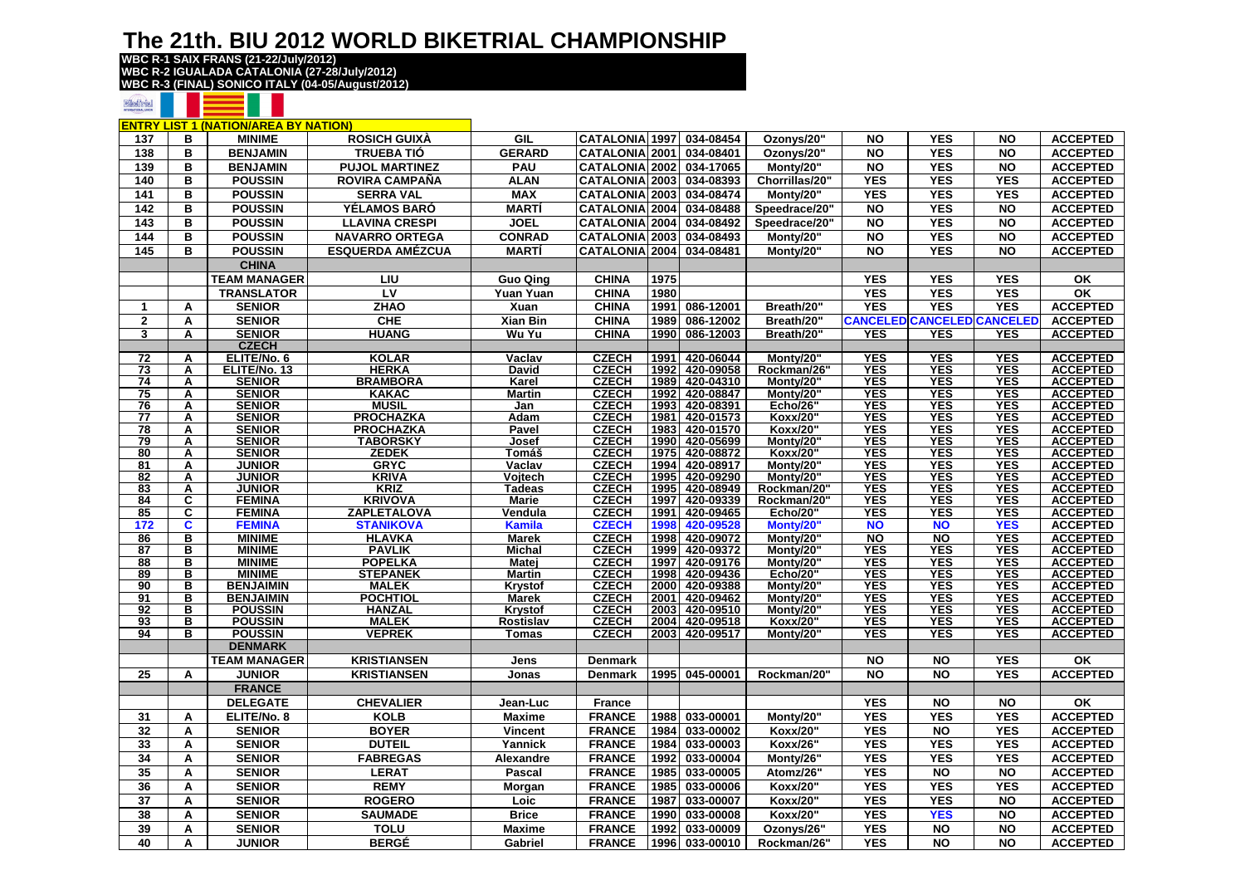**WBC R-1 SAIX FRANS (21-22/July/2012) WBC R-2 IGUALADA CATALONIA (27-28/July/2012) WBC R-3 (FINAL) SONICO ITALY (04-05/August/2012)**

#### **BilesTrial**

|                 |        | <b>ENTRY LIST 1 (NATION/AREA BY NATION)</b> |                             |                               |                              |              |                        |                          |                          |                                   |                          |                                    |
|-----------------|--------|---------------------------------------------|-----------------------------|-------------------------------|------------------------------|--------------|------------------------|--------------------------|--------------------------|-----------------------------------|--------------------------|------------------------------------|
| 137             | в      | <b>MINIME</b>                               | <b>ROSICH GUIXA</b>         | GIL                           | <b>CATALONIA</b> 1997        |              | 034-08454              | Ozonys/20"               | <b>NO</b>                | <b>YES</b>                        | <b>NO</b>                | <b>ACCEPTED</b>                    |
| 138             | в      | <b>BENJAMIN</b>                             | <b>TRUEBA TIÓ</b>           | <b>GERARD</b>                 | <b>CATALONIA 2001</b>        |              | 034-08401              | Ozonys/20"               | <b>NO</b>                | <b>YES</b>                        | <b>NO</b>                | <b>ACCEPTED</b>                    |
| 139             | в      | <b>BENJAMIN</b>                             | <b>PUJOL MARTINEZ</b>       | PAU                           | <b>CATALONIA 2002</b>        |              | 034-17065              | Monty/20"                | <b>NO</b>                | <b>YES</b>                        | <b>NO</b>                | <b>ACCEPTED</b>                    |
| 140             | в      | <b>POUSSIN</b>                              | <b>ROVIRA CAMPAÑA</b>       | <b>ALAN</b>                   | <b>CATALONIA 2003</b>        |              | 034-08393              | Chorrillas/20"           | <b>YES</b>               | <b>YES</b>                        | <b>YES</b>               | <b>ACCEPTED</b>                    |
| 141             | B      | <b>POUSSIN</b>                              | <b>SERRA VAL</b>            | <b>MAX</b>                    | <b>CATALONIA 2003</b>        |              | 034-08474              | Monty/20"                | <b>YES</b>               | <b>YES</b>                        | <b>YES</b>               | <b>ACCEPTED</b>                    |
|                 |        |                                             |                             |                               |                              |              |                        |                          |                          | <b>YES</b>                        |                          |                                    |
| 142             | B      | <b>POUSSIN</b>                              | YÉLAMOS BARÓ                | <b>MARTÍ</b>                  | <b>CATALONIA 2004</b>        |              | 034-08488              | Speedrace/20"            | <b>NO</b>                |                                   | <b>NO</b>                | <b>ACCEPTED</b>                    |
| 143             | в      | <b>POUSSIN</b>                              | <b>LLAVINA CRESPI</b>       | <b>JOEL</b>                   | <b>CATALONIA 2004</b>        |              | 034-08492              | Speedrace/20"            | <b>NO</b>                | <b>YES</b>                        | <b>NO</b>                | <b>ACCEPTED</b>                    |
| 144             | в      | <b>POUSSIN</b>                              | <b>NAVARRO ORTEGA</b>       | <b>CONRAD</b>                 | <b>CATALONIA 2003</b>        |              | 034-08493              | Monty/20"                | <b>NO</b>                | <b>YES</b>                        | <b>NO</b>                | <b>ACCEPTED</b>                    |
| 145             | в      | <b>POUSSIN</b>                              | <b>ESQUERDA AMÉZCUA</b>     | <b>MARTÍ</b>                  | <b>CATALONIA</b>             | 2004         | 034-08481              | Monty/20"                | <b>NO</b>                | <b>YES</b>                        | <b>NO</b>                | <b>ACCEPTED</b>                    |
|                 |        | <b>CHINA</b>                                |                             |                               |                              |              |                        |                          |                          |                                   |                          |                                    |
|                 |        | <b>TEAM MANAGER</b>                         | LIU                         | <b>Guo Qing</b>               | <b>CHINA</b>                 | 1975         |                        |                          | <b>YES</b>               | <b>YES</b>                        | <b>YES</b>               | OK                                 |
|                 |        | <b>TRANSLATOR</b>                           | LV                          | Yuan Yuan                     | <b>CHINA</b>                 | 1980         |                        |                          | <b>YES</b>               | <b>YES</b>                        | <b>YES</b>               | OK                                 |
| $\mathbf{1}$    | A      | <b>SENIOR</b>                               | <b>ZHAO</b>                 | Xuan                          | <b>CHINA</b>                 | 1991         | 086-12001              | Breath/20"               | <b>YES</b>               | <b>YES</b>                        | <b>YES</b>               | <b>ACCEPTED</b>                    |
| $\mathbf{2}$    | A      | <b>SENIOR</b>                               | CHE                         | <b>Xian Bin</b>               | <b>CHINA</b>                 | 1989         | 086-12002              | Breath/20"               |                          | <b>CANCELED CANCELED CANCELED</b> |                          | <b>ACCEPTED</b>                    |
| 3               | A      | <b>SENIOR</b>                               | <b>HUANG</b>                | Wu Yu                         | <b>CHINA</b>                 | 1990         | 086-12003              | Breath/20"               | YES                      | <b>YES</b>                        | <b>YES</b>               | <b>ACCEPTED</b>                    |
|                 |        | <b>CZECH</b>                                |                             |                               |                              |              |                        |                          |                          |                                   |                          |                                    |
| $\overline{72}$ | A      | ELITE/No. 6                                 | <b>KOLAR</b>                | Vaclav                        | <b>CZECH</b>                 | 1991         | 420-06044              | Monty/20                 | <b>YES</b>               | YES                               | <b>YES</b>               | <b>ACCEPTED</b>                    |
| $\overline{73}$ | A      | ELITE/No. 13                                | <b>HERKA</b>                | David                         | <b>CZECH</b>                 | 1992         | 420-09058              | Rockman/26"              | <b>YES</b>               | <b>YES</b>                        | <b>YES</b>               | <b>ACCEPTED</b>                    |
| 74              | A      | <b>SENIOR</b>                               | <b>BRAMBORA</b>             | Karel                         | <b>CZECH</b>                 | 1989         | 420-04310              | Monty/20"                | <b>YES</b>               | <b>YES</b>                        | <b>YES</b>               | <b>ACCEPTED</b>                    |
| 75              | Α      | <b>SENIOR</b>                               | <b>KAKAC</b>                | <b>Martin</b>                 | <b>CZECH</b>                 | 1992         | 420-08847              | Monty/20                 | <b>YES</b>               | <b>YES</b>                        | <b>YES</b>               | <b>ACCEPTED</b>                    |
| 76              | A      | <b>SENIOR</b>                               | <b>MUSIL</b>                | Jan                           | <b>CZECH</b>                 |              | 1993 420-08391         | Echo/26"                 | <b>YES</b>               | <b>YES</b>                        | <b>YES</b>               | <b>ACCEPTED</b>                    |
| 77              | A      | <b>SENIOR</b>                               | <b>PROCHAZKA</b>            | Adam                          | <b>CZECH</b>                 | 1981         | 420-01573              | Koxx/20"                 | <b>YES</b>               | <b>YES</b>                        | <b>YES</b>               | <b>ACCEPTED</b>                    |
| 78              | A      | <b>SENIOR</b>                               | <b>PROCHAZKA</b>            | Pavel                         | <b>CZECH</b>                 | 1983         | 420-01570              | Koxx/20"                 | <b>YES</b>               | <b>YES</b>                        | <b>YES</b>               | <b>ACCEPTED</b>                    |
| $\overline{79}$ | A      | <b>SENIOR</b>                               | <b>TABORSKY</b>             | Josef                         | <b>CZECH</b>                 |              | 1990 420-05699         | Monty/20                 | <b>YES</b>               | <b>YES</b>                        | <b>YES</b>               | <b>ACCEPTED</b>                    |
| 80              | A      | <b>SENIOR</b>                               | <b>ZEDEK</b>                | Tomáš                         | <b>CZECH</b>                 | 1975         | 420-08872              | Koxx/20"                 | <b>YES</b>               | <b>YES</b>                        | <b>YES</b>               | <b>ACCEPTED</b>                    |
| 81              | A      | <b>JUNIOR</b>                               | <b>GRYC</b>                 | Vaclav                        | <b>CZECH</b>                 | 1994         | 420-08917              | Monty/20'                | <b>YES</b>               | <b>YES</b>                        | <b>YES</b>               | <b>ACCEPTED</b>                    |
| 82              | Α      | <b>JUNIOR</b><br><b>JUNIOR</b>              | <b>KRIVA</b><br><b>KRIZ</b> | Vojtech                       | <b>CZECH</b>                 | 1995<br>1995 | 420-09290              | Monty/20'<br>Rockman/20" | <b>YES</b><br><b>YES</b> | <b>YES</b><br><b>YES</b>          | <b>YES</b>               | <b>ACCEPTED</b>                    |
| 83<br>84        | Α<br>C | <b>FEMINA</b>                               | <b>KRIVOVA</b>              | <b>Tadeas</b><br><b>Marie</b> | <b>CZECH</b><br><b>CZECH</b> | 1997         | 420-08949<br>420-09339 | Rockman/20"              | <b>YES</b>               | <b>YES</b>                        | <b>YES</b><br><b>YES</b> | <b>ACCEPTED</b><br><b>ACCEPTED</b> |
| 85              | C      | <b>FEMINA</b>                               | ZAPLETALOVA                 | Vendula                       | <b>CZECH</b>                 | 1991         | 420-09465              | <b>Echo/20"</b>          | <b>YES</b>               | <b>YES</b>                        | <b>YES</b>               | <b>ACCEPTED</b>                    |
| 172             | C      | <b>FEMINA</b>                               | <b>STANIKOVA</b>            | <b>Kamila</b>                 | <b>CZECH</b>                 | 1998         | 420-09528              | Monty/20"                | <b>NO</b>                | <b>NO</b>                         | <b>YES</b>               | <b>ACCEPTED</b>                    |
| 86              | в      | <b>MINIME</b>                               | <b>HLAVKA</b>               | <b>Marek</b>                  | <b>CZECH</b>                 | 1998         | 420-09072              | Monty/20"                | <b>NO</b>                | <b>NO</b>                         | <b>YES</b>               | <b>ACCEPTED</b>                    |
| 87              | в      | <b>MINIME</b>                               | <b>PAVLIK</b>               | <b>Michal</b>                 | <b>CZECH</b>                 |              | 1999 420-09372         | Monty/20                 | <b>YES</b>               | <b>YES</b>                        | <b>YES</b>               | <b>ACCEPTED</b>                    |
| 88              | в      | <b>MINIME</b>                               | <b>POPELKA</b>              | Matej                         | <b>CZECH</b>                 | 1997         | 420-09176              | Monty/20                 | <b>YES</b>               | <b>YES</b>                        | <b>YES</b>               | <b>ACCEPTED</b>                    |
| 89              | в      | <b>MINIME</b>                               | <b>STEPANEK</b>             | <b>Martin</b>                 | <b>CZECH</b>                 | 1998         | 420-09436              | <b>Echo/20"</b>          | <b>YES</b>               | <b>YES</b>                        | <b>YES</b>               | <b>ACCEPTED</b>                    |
| 90              | в      | <b>BENJAIMIN</b>                            | <b>MALEK</b>                | Krystof                       | <b>CZECH</b>                 | 2000         | 420-09388              | Monty/20                 | <b>YES</b>               | <b>YES</b>                        | <b>YES</b>               | <b>ACCEPTED</b>                    |
| 91              | в      | <b>BENJAIMIN</b>                            | <b>POCHTIOL</b>             | <b>Marek</b>                  | <b>CZECH</b>                 |              | 2001 420-09462         | Monty/20'                | <b>YES</b>               | <b>YES</b>                        | <b>YES</b>               | <b>ACCEPTED</b>                    |
| 92              | в      | <b>POUSSIN</b>                              | <b>HANZAL</b>               | <b>Krystof</b>                | <b>CZECH</b>                 |              | 2003 420-09510         | Monty/20                 | <b>YES</b>               | <b>YES</b>                        | <b>YES</b>               | <b>ACCEPTED</b>                    |
| 93              | в      | <b>POUSSIN</b>                              | <b>MALEK</b>                | Rostislav                     | <b>CZECH</b>                 |              | 2004 420-09518         | Koxx/20"                 | <b>YES</b>               | <b>YES</b>                        | <b>YES</b>               | <b>ACCEPTED</b>                    |
| 94              | в      | <b>POUSSIN</b>                              | <b>VEPREK</b>               | Tomas                         | <b>CZECH</b>                 |              | 2003 420-09517         | Monty/20"                | <b>YES</b>               | <b>YES</b>                        | <b>YES</b>               | <b>ACCEPTED</b>                    |
|                 |        | <b>DENMARK</b>                              |                             |                               |                              |              |                        |                          |                          |                                   |                          |                                    |
|                 |        | <b>TEAM MANAGER</b>                         | <b>KRISTIANSEN</b>          | Jens                          | <b>Denmark</b>               |              |                        |                          | <b>NO</b>                | <b>NO</b>                         | <b>YES</b>               | ОΚ                                 |
| 25              | Α      | <b>JUNIOR</b>                               | <b>KRISTIANSEN</b>          | Jonas                         | <b>Denmark</b>               | 1995         | 045-00001              | Rockman/20"              | <b>NO</b>                | <b>NO</b>                         | <b>YES</b>               | <b>ACCEPTED</b>                    |
|                 |        | <b>FRANCE</b>                               |                             |                               |                              |              |                        |                          |                          |                                   |                          |                                    |
|                 |        | <b>DELEGATE</b>                             | <b>CHEVALIER</b>            | <b>Jean-Luc</b>               | <b>France</b>                |              |                        |                          | <b>YES</b>               | <b>NO</b>                         | <b>NO</b>                | OK                                 |
| 31              | A      | ELITE/No. 8                                 | <b>KOLB</b>                 | <b>Maxime</b>                 | <b>FRANCE</b>                | 1988         | 033-00001              | Monty/20"                | <b>YES</b>               | <b>YES</b>                        | <b>YES</b>               | <b>ACCEPTED</b>                    |
| 32              | Α      | <b>SENIOR</b>                               | <b>BOYER</b>                | <b>Vincent</b>                | <b>FRANCE</b>                | 1984         | 033-00002              | Koxx/20'                 | <b>YES</b>               | $\overline{NQ}$                   | <b>YES</b>               | <b>ACCEPTED</b>                    |
| 33              | Α      | <b>SENIOR</b>                               | <b>DUTEIL</b>               | Yannick                       | <b>FRANCE</b>                | 1984         | 033-00003              | Koxx/26"                 | <b>YES</b>               | <b>YES</b>                        | <b>YES</b>               | <b>ACCEPTED</b>                    |
| 34              | A      | <b>SENIOR</b>                               | <b>FABREGAS</b>             |                               | <b>FRANCE</b>                | 1992         | 033-00004              |                          | <b>YES</b>               | <b>YES</b>                        | <b>YES</b>               | <b>ACCEPTED</b>                    |
|                 |        |                                             |                             | Alexandre                     |                              |              |                        | Monty/26'                |                          |                                   |                          | <b>ACCEPTED</b>                    |
| 35              | Α      | <b>SENIOR</b>                               | <b>LERAT</b>                | <b>Pascal</b>                 | <b>FRANCE</b>                | 1985         | 033-00005              | Atomz/26'                | <b>YES</b>               | <b>NO</b><br><b>YES</b>           | <b>NO</b>                |                                    |
| 36              | Α      | <b>SENIOR</b>                               | <b>REMY</b>                 | Morgan                        | <b>FRANCE</b>                | 1985         | 033-00006              | Koxx/20"                 | <b>YES</b>               |                                   | <b>YES</b>               | <b>ACCEPTED</b>                    |
| 37              | A      | <b>SENIOR</b>                               | <b>ROGERO</b>               | Loic                          | <b>FRANCE</b>                | 1987         | 033-00007              | <b>Koxx/20"</b>          | <b>YES</b>               | <b>YES</b>                        | <b>NO</b>                | <b>ACCEPTED</b>                    |
| 38              | Α      | <b>SENIOR</b>                               | <b>SAUMADE</b>              | <b>Brice</b>                  | <b>FRANCE</b>                | 1990         | 033-00008              | Koxx/20"                 | <b>YES</b>               | <b>YES</b>                        | <b>NO</b>                | <b>ACCEPTED</b>                    |
| 39              | Α      | <b>SENIOR</b>                               | <b>TOLU</b>                 | <b>Maxime</b>                 | <b>FRANCE</b>                | 1992         | 033-00009              | Ozonys/26                | <b>YES</b>               | <b>NO</b>                         | <b>NO</b>                | <b>ACCEPTED</b>                    |
| 40              | Α      | <b>JUNIOR</b>                               | <b>BERGÉ</b>                | Gabriel                       | <b>FRANCE</b>                | 1996         | 033-00010              | Rockman/26"              | <b>YES</b>               | <b>NO</b>                         | <b>NO</b>                | <b>ACCEPTED</b>                    |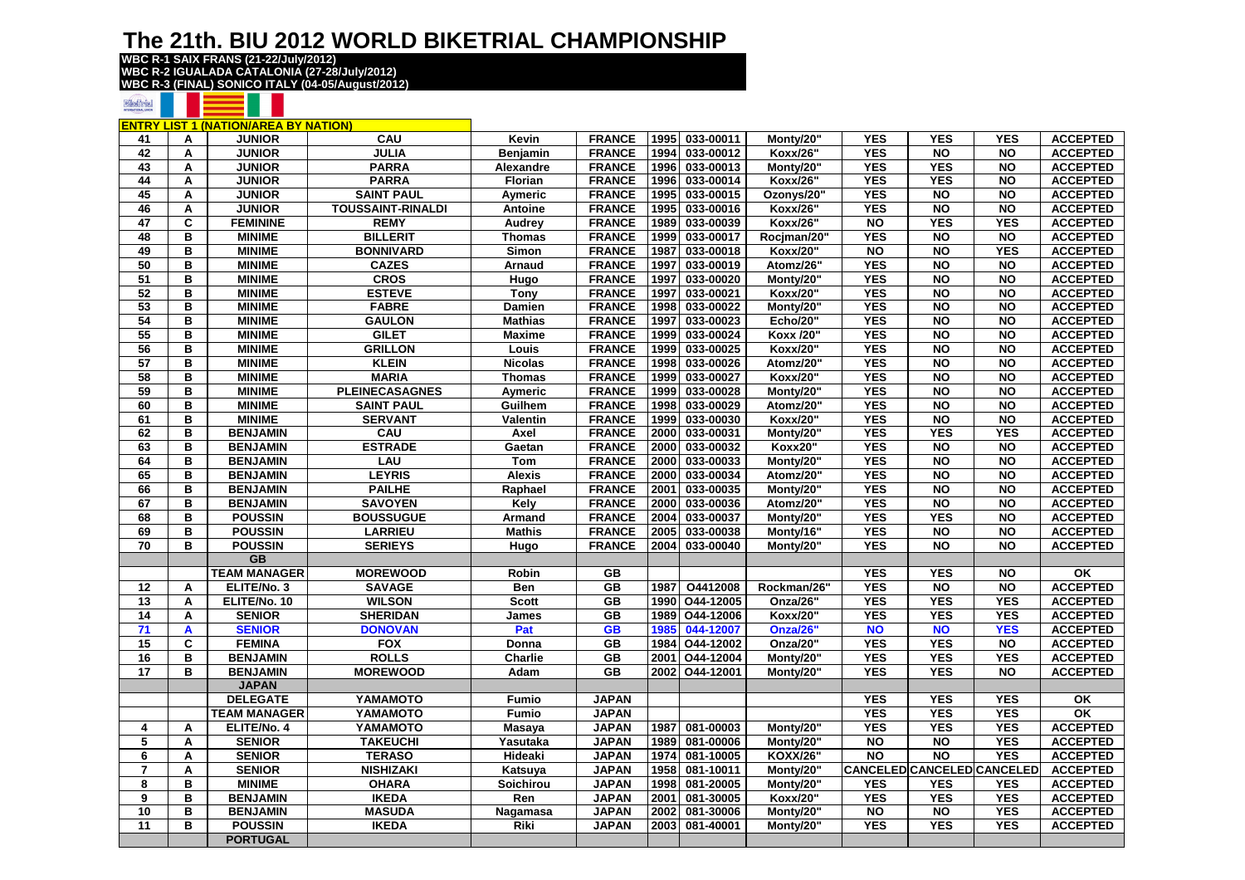**WBC R-1 SAIX FRANS (21-22/July/2012) WBC R-2 IGUALADA CATALONIA (27-28/July/2012) WBC R-3 (FINAL) SONICO ITALY (04-05/August/2012)**

#### **BilesTrial**

|                          |   | <b>ENTRY LIST 1 (NATION/AREA BY NATION)</b> |                          |                  |               |      |                |                 |            |            |                            |                 |
|--------------------------|---|---------------------------------------------|--------------------------|------------------|---------------|------|----------------|-----------------|------------|------------|----------------------------|-----------------|
| 41                       | Α | <b>JUNIOR</b>                               | CAU                      | Kevin            | <b>FRANCE</b> |      | 1995 033-00011 | Monty/20"       | <b>YES</b> | <b>YES</b> | <b>YES</b>                 | <b>ACCEPTED</b> |
| 42                       | Α | <b>JUNIOR</b>                               | <b>JULIA</b>             | <b>Benjamin</b>  | <b>FRANCE</b> | 1994 | 033-00012      | Koxx/26'        | <b>YES</b> | <b>NO</b>  | <b>NO</b>                  | <b>ACCEPTED</b> |
| 43                       | Α | <b>JUNIOR</b>                               | <b>PARRA</b>             | Alexandre        | <b>FRANCE</b> | 1996 | 033-00013      | Monty/20'       | <b>YES</b> | <b>YES</b> | <b>NO</b>                  | <b>ACCEPTED</b> |
| 44                       | A | <b>JUNIOR</b>                               | <b>PARRA</b>             | <b>Florian</b>   | <b>FRANCE</b> | 1996 | 033-00014      | <b>Koxx/26"</b> | <b>YES</b> | <b>YES</b> | <b>NO</b>                  | <b>ACCEPTED</b> |
| 45                       | A | <b>JUNIOR</b>                               | <b>SAINT PAUL</b>        | Aymeric          | <b>FRANCE</b> | 1995 | 033-00015      | Ozonys/20"      | <b>YES</b> | <b>NO</b>  | <b>NO</b>                  | <b>ACCEPTED</b> |
| 46                       | Α | <b>JUNIOR</b>                               | <b>TOUSSAINT-RINALDI</b> | Antoine          | <b>FRANCE</b> | 1995 | 033-00016      | Koxx/26"        | <b>YES</b> | <b>NO</b>  | <b>NO</b>                  | <b>ACCEPTED</b> |
| 47                       | C | <b>FEMININE</b>                             | <b>REMY</b>              | Audrey           | <b>FRANCE</b> | 1989 | 033-00039      | <b>Koxx/26"</b> | <b>NO</b>  | <b>YES</b> | <b>YES</b>                 | <b>ACCEPTED</b> |
| 48                       | в | <b>MINIME</b>                               | <b>BILLERIT</b>          | <b>Thomas</b>    | <b>FRANCE</b> | 1999 | 033-00017      | Rociman/20"     | <b>YES</b> | <b>NO</b>  | <b>NO</b>                  | <b>ACCEPTED</b> |
| 49                       | в | <b>MINIME</b>                               | <b>BONNIVARD</b>         | Simon            | <b>FRANCE</b> | 1987 | 033-00018      | Koxx/20"        | <b>NO</b>  | <b>NO</b>  | <b>YES</b>                 | <b>ACCEPTED</b> |
| 50                       | B | <b>MINIME</b>                               | <b>CAZES</b>             | <b>Arnaud</b>    | <b>FRANCE</b> | 1997 | 033-00019      | Atomz/26'       | <b>YES</b> | <b>NO</b>  | <b>NO</b>                  | <b>ACCEPTED</b> |
| 51                       | B | <b>MINIME</b>                               | <b>CROS</b>              | Hugo             | <b>FRANCE</b> | 1997 | 033-00020      | Monty/20"       | <b>YES</b> | <b>NO</b>  | <b>NO</b>                  | <b>ACCEPTED</b> |
| 52                       | B | <b>MINIME</b>                               | <b>ESTEVE</b>            | <b>Tony</b>      | <b>FRANCE</b> | 1997 | 033-00021      | Koxx/20"        | <b>YES</b> | <b>NO</b>  | <b>NO</b>                  | <b>ACCEPTED</b> |
| 53                       | B | <b>MINIME</b>                               | <b>FABRE</b>             | <b>Damien</b>    | <b>FRANCE</b> | 1998 | 033-00022      | Monty/20'       | <b>YES</b> | <b>NO</b>  | <b>NO</b>                  | <b>ACCEPTED</b> |
| 54                       | в | <b>MINIME</b>                               | <b>GAULON</b>            | <b>Mathias</b>   | <b>FRANCE</b> | 1997 | 033-00023      | <b>Echo/20"</b> | <b>YES</b> | <b>NO</b>  | <b>NO</b>                  | <b>ACCEPTED</b> |
| 55                       | в | <b>MINIME</b>                               | <b>GILET</b>             | <b>Maxime</b>    | <b>FRANCE</b> | 1999 | 033-00024      | Koxx /20'       | <b>YES</b> | <b>NO</b>  | <b>NO</b>                  | <b>ACCEPTED</b> |
| 56                       | B | <b>MINIME</b>                               | <b>GRILLON</b>           | Louis            | <b>FRANCE</b> | 1999 | 033-00025      | Koxx/20"        | <b>YES</b> | <b>NO</b>  | <b>NO</b>                  | <b>ACCEPTED</b> |
| 57                       | в | <b>MINIME</b>                               | <b>KLEIN</b>             | <b>Nicolas</b>   | <b>FRANCE</b> | 1998 | 033-00026      | Atomz/20"       | <b>YES</b> | <b>NO</b>  | <b>NO</b>                  | <b>ACCEPTED</b> |
| 58                       | в | <b>MINIME</b>                               | <b>MARIA</b>             | <b>Thomas</b>    | <b>FRANCE</b> | 1999 | 033-00027      | Koxx/20"        | <b>YES</b> | <b>NO</b>  | <b>NO</b>                  | <b>ACCEPTED</b> |
| 59                       | B | <b>MINIME</b>                               | <b>PLEINECASAGNES</b>    | Aymeric          | <b>FRANCE</b> | 1999 | 033-00028      | Monty/20"       | <b>YES</b> | <b>NO</b>  | <b>NO</b>                  | <b>ACCEPTED</b> |
| 60                       | в | <b>MINIME</b>                               | <b>SAINT PAUL</b>        | Guilhem          | <b>FRANCE</b> | 1998 | 033-00029      | Atomz/20'       | <b>YES</b> | <b>NO</b>  | <b>NO</b>                  | <b>ACCEPTED</b> |
| 61                       | в | <b>MINIME</b>                               | <b>SERVANT</b>           | Valentin         | <b>FRANCE</b> | 1999 | 033-00030      | Koxx/20"        | <b>YES</b> | <b>NO</b>  | <b>NO</b>                  | <b>ACCEPTED</b> |
| 62                       | в | <b>BENJAMIN</b>                             | CAU                      | Axel             | <b>FRANCE</b> | 2000 | 033-00031      | Monty/20"       | <b>YES</b> | <b>YES</b> | <b>YES</b>                 | <b>ACCEPTED</b> |
| 63                       | в | <b>BENJAMIN</b>                             | <b>ESTRADE</b>           | Gaetan           | <b>FRANCE</b> | 2000 | 033-00032      | <b>Koxx20"</b>  | <b>YES</b> | <b>NO</b>  | <b>NO</b>                  | <b>ACCEPTED</b> |
| 64                       | в | <b>BENJAMIN</b>                             | LAU                      | Tom              | <b>FRANCE</b> | 2000 | 033-00033      | Monty/20"       | <b>YES</b> | <b>NO</b>  | <b>NO</b>                  | <b>ACCEPTED</b> |
| 65                       | в | <b>BENJAMIN</b>                             | <b>LEYRIS</b>            | <b>Alexis</b>    | <b>FRANCE</b> | 2000 | 033-00034      | Atomz/20'       | <b>YES</b> | <b>NO</b>  | <b>NO</b>                  | <b>ACCEPTED</b> |
| 66                       | в | <b>BENJAMIN</b>                             | <b>PAILHE</b>            | Raphael          | <b>FRANCE</b> | 2001 | 033-00035      | Monty/20"       | <b>YES</b> | <b>NO</b>  | <b>NO</b>                  | <b>ACCEPTED</b> |
| 67                       | в | <b>BENJAMIN</b>                             | <b>SAVOYEN</b>           | Kely             | <b>FRANCE</b> | 2000 | 033-00036      | Atomz/20"       | <b>YES</b> | <b>NO</b>  | <b>NO</b>                  | <b>ACCEPTED</b> |
| 68                       | B | <b>POUSSIN</b>                              | <b>BOUSSUGUE</b>         | Armand           | <b>FRANCE</b> | 2004 | 033-00037      | Monty/20"       | <b>YES</b> | <b>YES</b> | <b>NO</b>                  | <b>ACCEPTED</b> |
| 69                       | в | <b>POUSSIN</b>                              | <b>LARRIEU</b>           | <b>Mathis</b>    | <b>FRANCE</b> | 2005 | 033-00038      | Monty/16'       | <b>YES</b> | <b>NO</b>  | <b>NO</b>                  | <b>ACCEPTED</b> |
| 70                       | B | <b>POUSSIN</b>                              | <b>SERIEYS</b>           | Hugo             | <b>FRANCE</b> | 2004 | 033-00040      | Monty/20"       | <b>YES</b> | <b>NO</b>  | <b>NO</b>                  | <b>ACCEPTED</b> |
|                          |   | <b>GB</b>                                   |                          |                  |               |      |                |                 |            |            |                            |                 |
|                          |   | <b>TEAM MANAGER</b>                         | <b>MOREWOOD</b>          | Robin            | GB            |      |                |                 | <b>YES</b> | <b>YES</b> | <b>NO</b>                  | ΟK              |
| 12                       | A | ELITE/No. 3                                 | <b>SAVAGE</b>            | Ben              | <b>GB</b>     | 1987 | O4412008       | Rockman/26"     | <b>YES</b> | <b>NO</b>  | <b>NO</b>                  | <b>ACCEPTED</b> |
| 13                       | A | ELITE/No. 10                                | <b>WILSON</b>            | <b>Scott</b>     | <b>GB</b>     | 1990 | O44-12005      | Onza/26"        | <b>YES</b> | <b>YES</b> | <b>YES</b>                 | <b>ACCEPTED</b> |
| 14                       | A | <b>SENIOR</b>                               | <b>SHERIDAN</b>          | James            | <b>GB</b>     | 1989 | O44-12006      | Koxx/20"        | <b>YES</b> | <b>YES</b> | <b>YES</b>                 | <b>ACCEPTED</b> |
| 71                       | A | <b>SENIOR</b>                               | <b>DONOVAN</b>           | Pat              | <b>GB</b>     | 1985 | 044-12007      | Onza/26'        | <b>NO</b>  | <b>NO</b>  | <b>YES</b>                 | <b>ACCEPTED</b> |
| 15                       | C | <b>FEMINA</b>                               | <b>FOX</b>               | Donna            | <b>GB</b>     | 1984 | O44-12002      | Onza/20"        | <b>YES</b> | <b>YES</b> | <b>NO</b>                  | <b>ACCEPTED</b> |
| 16                       | в | <b>BENJAMIN</b>                             | <b>ROLLS</b>             | Charlie          | GB            | 2001 | O44-12004      | Monty/20"       | <b>YES</b> | <b>YES</b> | <b>YES</b>                 | <b>ACCEPTED</b> |
| 17                       | в | <b>BENJAMIN</b>                             | <b>MOREWOOD</b>          | Adam             | <b>GB</b>     | 2002 | O44-12001      | Monty/20"       | <b>YES</b> | <b>YES</b> | <b>NO</b>                  | <b>ACCEPTED</b> |
|                          |   | <b>JAPAN</b>                                |                          |                  |               |      |                |                 |            |            |                            |                 |
|                          |   | <b>DELEGATE</b>                             | YAMAMOTO                 | <b>Fumio</b>     | <b>JAPAN</b>  |      |                |                 | <b>YES</b> | <b>YES</b> | <b>YES</b>                 | OK              |
|                          |   | <b>TEAM MANAGER</b>                         | YAMAMOTO                 | <b>Fumio</b>     | <b>JAPAN</b>  |      |                |                 | <b>YES</b> | <b>YES</b> | <b>YES</b>                 | <b>OK</b>       |
| 4                        | Α | ELITE/No. 4                                 | YAMAMOTO                 | <b>Masaya</b>    | <b>JAPAN</b>  | 1987 | 081-00003      | Monty/20"       | <b>YES</b> | <b>YES</b> | <b>YES</b>                 | <b>ACCEPTED</b> |
| $\overline{5}$           | A | <b>SENIOR</b>                               | <b>TAKEUCHI</b>          | Yasutaka         | <b>JAPAN</b>  | 1989 | 081-00006      | Monty/20"       | <b>NO</b>  | <b>NO</b>  | <b>YES</b>                 | <b>ACCEPTED</b> |
| 6                        | A | <b>SENIOR</b>                               | <b>TERASO</b>            | Hideaki          | <b>JAPAN</b>  | 1974 | 081-10005      | <b>KOXX/26"</b> | <b>NO</b>  | <b>NO</b>  | <b>YES</b>                 | <b>ACCEPTED</b> |
| $\overline{\phantom{a}}$ | Α | <b>SENIOR</b>                               | <b>NISHIZAKI</b>         | Katsuya          | <b>JAPAN</b>  | 1958 | 081-10011      | Monty/20"       |            |            | CANCELED CANCELED CANCELED | <b>ACCEPTED</b> |
| 8                        | в | <b>MINIME</b>                               | <b>OHARA</b>             | <b>Soichirou</b> | <b>JAPAN</b>  | 1998 | 081-20005      | Monty/20'       | <b>YES</b> | <b>YES</b> | <b>YES</b>                 | <b>ACCEPTED</b> |
| $\boldsymbol{9}$         | B | <b>BENJAMIN</b>                             | <b>IKEDA</b>             | Ren              | <b>JAPAN</b>  | 2001 | 081-30005      | Koxx/20"        | <b>YES</b> | <b>YES</b> | <b>YES</b>                 | <b>ACCEPTED</b> |
| 10                       | B | <b>BENJAMIN</b>                             | <b>MASUDA</b>            | Nagamasa         | <b>JAPAN</b>  | 2002 | 081-30006      | Monty/20"       | <b>NO</b>  | <b>NO</b>  | <b>YES</b>                 | <b>ACCEPTED</b> |
| 11                       | B | <b>POUSSIN</b>                              | <b>IKEDA</b>             | <b>Riki</b>      | <b>JAPAN</b>  | 2003 | 081-40001      | Monty/20"       | <b>YES</b> | <b>YES</b> | <b>YES</b>                 | <b>ACCEPTED</b> |
|                          |   | <b>PORTUGAL</b>                             |                          |                  |               |      |                |                 |            |            |                            |                 |
|                          |   |                                             |                          |                  |               |      |                |                 |            |            |                            |                 |